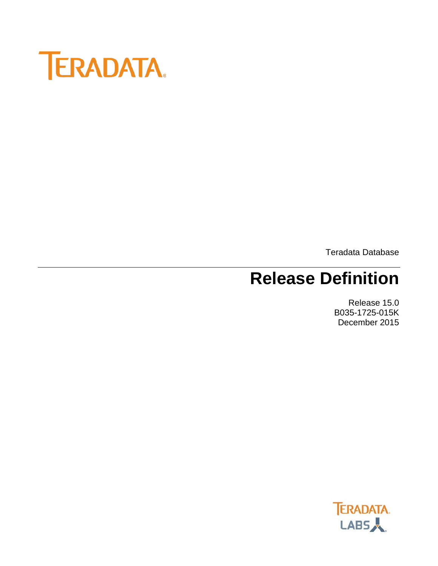

Teradata Database

# **Release Definition**

Release 15.0 B035-1725-015K December 2015

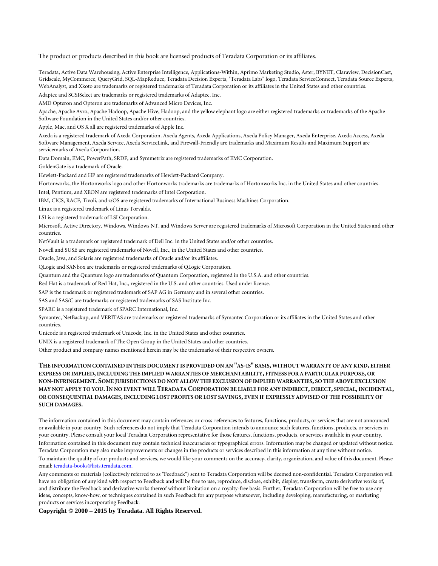The product or products described in this book are licensed products of Teradata Corporation or its affiliates.

Teradata, Active Data Warehousing, Active Enterprise Intelligence, Applications-Within, Aprimo Marketing Studio, Aster, BYNET, Claraview, DecisionCast, Gridscale, MyCommerce, QueryGrid, SQL-MapReduce, Teradata Decision Experts, "Teradata Labs" logo, Teradata ServiceConnect, Teradata Source Experts, WebAnalyst, and Xkoto are trademarks or registered trademarks of Teradata Corporation or its affiliates in the United States and other countries.

Adaptec and SCSISelect are trademarks or registered trademarks of Adaptec, Inc.

AMD Opteron and Opteron are trademarks of Advanced Micro Devices, Inc.

Apache, Apache Avro, Apache Hadoop, Apache Hive, Hadoop, and the yellow elephant logo are either registered trademarks or trademarks of the Apache Software Foundation in the United States and/or other countries.

Apple, Mac, and OS X all are registered trademarks of Apple Inc.

Axeda is a registered trademark of Axeda Corporation. Axeda Agents, Axeda Applications, Axeda Policy Manager, Axeda Enterprise, Axeda Access, Axeda Software Management, Axeda Service, Axeda ServiceLink, and Firewall-Friendly are trademarks and Maximum Results and Maximum Support are servicemarks of Axeda Corporation.

Data Domain, EMC, PowerPath, SRDF, and Symmetrix are registered trademarks of EMC Corporation.

GoldenGate is a trademark of Oracle.

Hewlett-Packard and HP are registered trademarks of Hewlett-Packard Company.

Hortonworks, the Hortonworks logo and other Hortonworks trademarks are trademarks of Hortonworks Inc. in the United States and other countries.

Intel, Pentium, and XEON are registered trademarks of Intel Corporation.

IBM, CICS, RACF, Tivoli, and z/OS are registered trademarks of International Business Machines Corporation.

Linux is a registered trademark of Linus Torvalds.

LSI is a registered trademark of LSI Corporation.

Microsoft, Active Directory, Windows, Windows NT, and Windows Server are registered trademarks of Microsoft Corporation in the United States and other countries.

NetVault is a trademark or registered trademark of Dell Inc. in the United States and/or other countries.

Novell and SUSE are registered trademarks of Novell, Inc., in the United States and other countries.

Oracle, Java, and Solaris are registered trademarks of Oracle and/or its affiliates.

QLogic and SANbox are trademarks or registered trademarks of QLogic Corporation.

Quantum and the Quantum logo are trademarks of Quantum Corporation, registered in the U.S.A. and other countries.

Red Hat is a trademark of Red Hat, Inc., registered in the U.S. and other countries. Used under license.

SAP is the trademark or registered trademark of SAP AG in Germany and in several other countries.

SAS and SAS/C are trademarks or registered trademarks of SAS Institute Inc.

SPARC is a registered trademark of SPARC International, Inc.

Symantec, NetBackup, and VERITAS are trademarks or registered trademarks of Symantec Corporation or its affiliates in the United States and other countries.

Unicode is a registered trademark of Unicode, Inc. in the United States and other countries.

UNIX is a registered trademark of The Open Group in the United States and other countries.

Other product and company names mentioned herein may be the trademarks of their respective owners.

#### **THE INFORMATION CONTAINED IN THIS DOCUMENT IS PROVIDED ON AN "AS-IS" BASIS, WITHOUT WARRANTY OF ANY KIND, EITHER EXPRESS OR IMPLIED, INCLUDING THE IMPLIED WARRANTIES OF MERCHANTABILITY, FITNESS FOR A PARTICULAR PURPOSE, OR NON-INFRINGEMENT. SOME JURISDICTIONS DO NOT ALLOW THE EXCLUSION OF IMPLIED WARRANTIES, SO THE ABOVE EXCLUSION MAY NOT APPLY TO YOU.IN NO EVENT WILL TERADATA CORPORATION BE LIABLE FOR ANY INDIRECT, DIRECT, SPECIAL, INCIDENTAL, OR CONSEQUENTIAL DAMAGES, INCLUDING LOST PROFITS OR LOST SAVINGS, EVEN IF EXPRESSLY ADVISED OF THE POSSIBILITY OF SUCH DAMAGES.**

The information contained in this document may contain references or cross-references to features, functions, products, or services that are not announced or available in your country. Such references do not imply that Teradata Corporation intends to announce such features, functions, products, or services in your country. Please consult your local Teradata Corporation representative for those features, functions, products, or services available in your country. Information contained in this document may contain technical inaccuracies or typographical errors. Information may be changed or updated without notice. Teradata Corporation may also make improvements or changes in the products or services described in this information at any time without notice. To maintain the quality of our products and services, we would like your comments on the accuracy, clarity, organization, and value of this document. Please email: teradata-books@lists.teradata.com.

Any comments or materials (collectively referred to as "Feedback") sent to Teradata Corporation will be deemed non-confidential. Teradata Corporation will have no obligation of any kind with respect to Feedback and will be free to use, reproduce, disclose, exhibit, display, transform, create derivative works of, and distribute the Feedback and derivative works thereof without limitation on a royalty-free basis. Further, Teradata Corporation will be free to use any ideas, concepts, know-how, or techniques contained in such Feedback for any purpose whatsoever, including developing, manufacturing, or marketing products or services incorporating Feedback.

**Copyright © 2000 – 2015 by Teradata. All Rights Reserved.**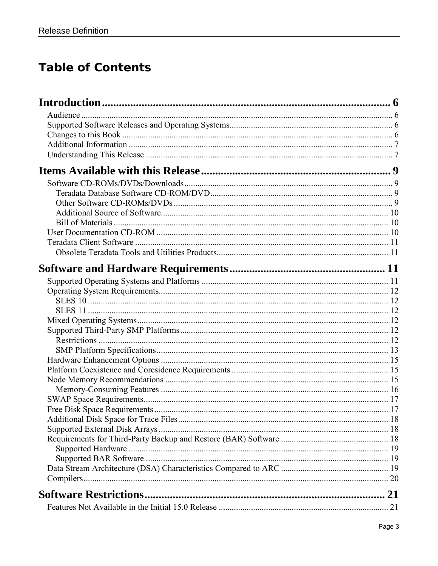#### **Table of Contents**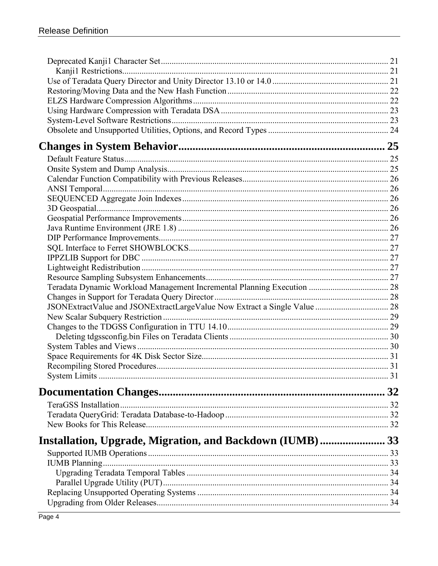| Installation, Upgrade, Migration, and Backdown (IUMB) 33 |  |
|----------------------------------------------------------|--|
|                                                          |  |
|                                                          |  |
|                                                          |  |
|                                                          |  |
|                                                          |  |
|                                                          |  |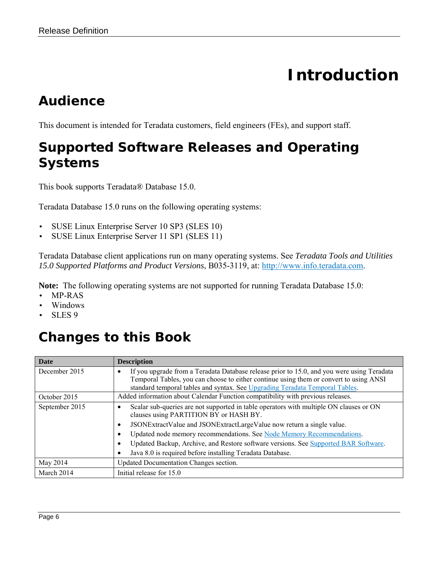# **Introduction**

### <span id="page-5-1"></span><span id="page-5-0"></span>*Audience*

<span id="page-5-2"></span>This document is intended for Teradata customers, field engineers (FEs), and support staff.

#### *Supported Software Releases and Operating Systems*

This book supports Teradata® Database 15.0.

Teradata Database 15.0 runs on the following operating systems:

- SUSE Linux Enterprise Server 10 SP3 (SLES 10)
- SUSE Linux Enterprise Server 11 SP1 (SLES 11)

Teradata Database client applications run on many operating systems. See *Teradata Tools and Utilities 15.0 Supported Platforms and Product Versions*, B035-3119, at: [http://www.info.teradata.com.](http://www.info.teradata.com/)

**Note:** The following operating systems are not supported for running Teradata Database 15.0:

- MP-RAS
- Windows
- SLES 9

### <span id="page-5-3"></span>*Changes to this Book*

| <b>Date</b>    | <b>Description</b>                                                                                                                                                                                                                                                                                                                                                                                                                                            |
|----------------|---------------------------------------------------------------------------------------------------------------------------------------------------------------------------------------------------------------------------------------------------------------------------------------------------------------------------------------------------------------------------------------------------------------------------------------------------------------|
| December 2015  | If you upgrade from a Teradata Database release prior to 15.0, and you were using Teradata<br>٠<br>Temporal Tables, you can choose to either continue using them or convert to using ANSI<br>standard temporal tables and syntax. See Upgrading Teradata Temporal Tables.                                                                                                                                                                                     |
| October 2015   | Added information about Calendar Function compatibility with previous releases.                                                                                                                                                                                                                                                                                                                                                                               |
| September 2015 | Scalar sub-queries are not supported in table operators with multiple ON clauses or ON<br>clauses using PARTITION BY or HASH BY.<br>JSONExtractValue and JSONExtractLargeValue now return a single value.<br>$\bullet$<br>Updated node memory recommendations. See Node Memory Recommendations.<br>٠<br>Updated Backup, Archive, and Restore software versions. See Supported BAR Software.<br>٠<br>Java 8.0 is required before installing Teradata Database. |
| May 2014       | Updated Documentation Changes section.                                                                                                                                                                                                                                                                                                                                                                                                                        |
| March 2014     | Initial release for 15.0                                                                                                                                                                                                                                                                                                                                                                                                                                      |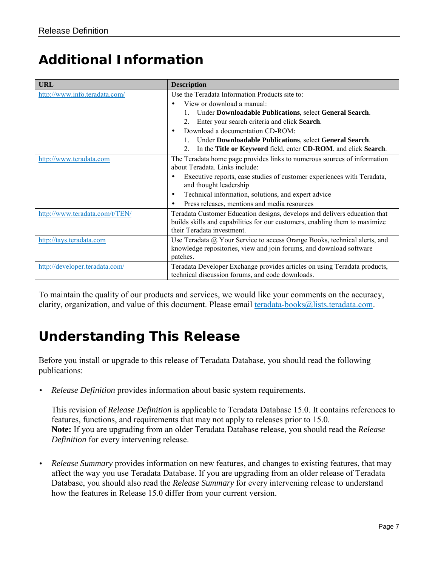#### <span id="page-6-0"></span>*Additional Information*

| <b>URL</b>                     | <b>Description</b>                                                                                                            |
|--------------------------------|-------------------------------------------------------------------------------------------------------------------------------|
| http://www.info.teradata.com/  | Use the Teradata Information Products site to:                                                                                |
|                                | View or download a manual:                                                                                                    |
|                                | Under Downloadable Publications, select General Search.                                                                       |
|                                | Enter your search criteria and click Search.<br>$2_{\cdot}$                                                                   |
|                                | Download a documentation CD-ROM:<br>$\bullet$                                                                                 |
|                                | Under Downloadable Publications, select General Search.                                                                       |
|                                | In the Title or Keyword field, enter CD-ROM, and click Search.<br>$\mathfrak{2}$ .                                            |
| http://www.teradata.com        | The Teradata home page provides links to numerous sources of information                                                      |
|                                | about Teradata. Links include:                                                                                                |
|                                | Executive reports, case studies of customer experiences with Teradata,<br>٠<br>and thought leadership                         |
|                                | Technical information, solutions, and expert advice<br>$\bullet$                                                              |
|                                | Press releases, mentions and media resources<br>$\bullet$                                                                     |
| http://www.teradata.com/t/TEN/ | Teradata Customer Education designs, develops and delivers education that                                                     |
|                                | builds skills and capabilities for our customers, enabling them to maximize                                                   |
|                                | their Teradata investment.                                                                                                    |
| http://tays.teradata.com       | Use Teradata @ Your Service to access Orange Books, technical alerts, and                                                     |
|                                | knowledge repositories, view and join forums, and download software<br>patches.                                               |
| http://developer.teradata.com/ | Teradata Developer Exchange provides articles on using Teradata products,<br>technical discussion forums, and code downloads. |

To maintain the quality of our products and services, we would like your comments on the accuracy, clarity, organization, and value of this document. Please email [teradata-books@lists.teradata.com.](mailto:teradata-books@lists.teradata.com)

#### <span id="page-6-1"></span>*Understanding This Release*

Before you install or upgrade to this release of Teradata Database, you should read the following publications:

• *Release Definition* provides information about basic system requirements.

This revision of *Release Definition* is applicable to Teradata Database 15.0. It contains references to features, functions, and requirements that may not apply to releases prior to 15.0. **Note:** If you are upgrading from an older Teradata Database release, you should read the *Release Definition* for every intervening release.

• *Release Summary* provides information on new features, and changes to existing features, that may affect the way you use Teradata Database. If you are upgrading from an older release of Teradata Database, you should also read the *Release Summary* for every intervening release to understand how the features in Release 15.0 differ from your current version.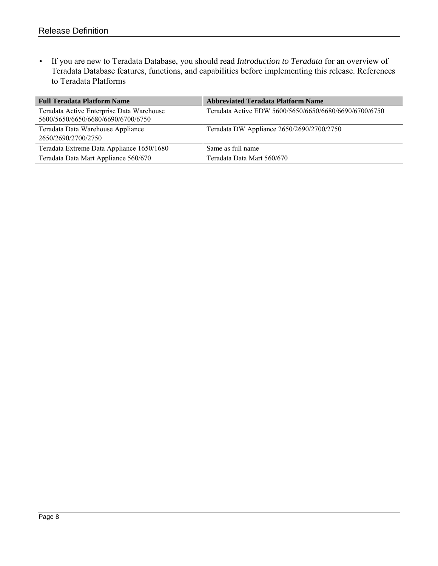• If you are new to Teradata Database, you should read *Introduction to Teradata* for an overview of Teradata Database features, functions, and capabilities before implementing this release. References to Teradata Platforms

| <b>Full Teradata Platform Name</b>                                              | <b>Abbreviated Teradata Platform Name</b>              |
|---------------------------------------------------------------------------------|--------------------------------------------------------|
| Teradata Active Enterprise Data Warehouse<br>5600/5650/6650/6680/6690/6700/6750 | Teradata Active EDW 5600/5650/6650/6680/6690/6700/6750 |
| Teradata Data Warehouse Appliance<br>2650/2690/2700/2750                        | Teradata DW Appliance 2650/2690/2700/2750              |
| Teradata Extreme Data Appliance 1650/1680                                       | Same as full name                                      |
| Teradata Data Mart Appliance 560/670                                            | Teradata Data Mart 560/670                             |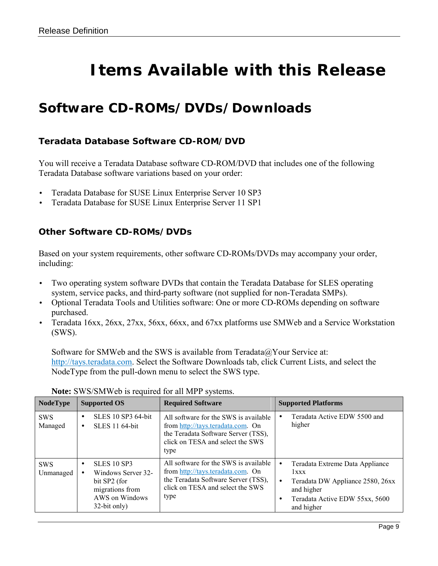# **Items Available with this Release**

#### <span id="page-8-1"></span><span id="page-8-0"></span>*Software CD-ROMs/DVDs/Downloads*

#### <span id="page-8-2"></span>**Teradata Database Software CD-ROM/DVD**

You will receive a Teradata Database software CD-ROM/DVD that includes one of the following Teradata Database software variations based on your order:

- Teradata Database for SUSE Linux Enterprise Server 10 SP3
- Teradata Database for SUSE Linux Enterprise Server 11 SP1

#### <span id="page-8-3"></span>**Other Software CD-ROMs/DVDs**

Based on your system requirements, other software CD-ROMs/DVDs may accompany your order, including:

- Two operating system software DVDs that contain the Teradata Database for SLES operating system, service packs, and third-party software (not supplied for non-Teradata SMPs).
- Optional Teradata Tools and Utilities software: One or more CD-ROMs depending on software purchased.
- Teradata 16xx, 26xx, 27xx, 56xx, 66xx, and 67xx platforms use SMWeb and a Service Workstation (SWS).

Software for SMWeb and the SWS is available from Teradata@Your Service at: [http://tays.teradata.com.](http://tays.teradata.com/) Select the Software Downloads tab, click Current Lists, and select the NodeType from the pull-down menu to select the SWS type.

| <b>NodeType</b>         | <b>Supported OS</b>                                                                                           | <b>Required Software</b>                                                                                                                                      | <b>Supported Platforms</b>                                                                                                                             |
|-------------------------|---------------------------------------------------------------------------------------------------------------|---------------------------------------------------------------------------------------------------------------------------------------------------------------|--------------------------------------------------------------------------------------------------------------------------------------------------------|
| <b>SWS</b><br>Managed   | <b>SLES 10 SP3 64-bit</b><br>SLES 11 64-bit<br>٠                                                              | All software for the SWS is available<br>from http://tays.teradata.com. On<br>the Teradata Software Server (TSS),<br>click on TESA and select the SWS<br>type | Teradata Active EDW 5500 and<br>higher                                                                                                                 |
| <b>SWS</b><br>Unmanaged | <b>SLES 10 SP3</b><br>Windows Server 32-<br>bit SP2 (for<br>migrations from<br>AWS on Windows<br>32-bit only) | All software for the SWS is available<br>from http://tays.teradata.com. On<br>the Teradata Software Server (TSS),<br>click on TESA and select the SWS<br>type | Teradata Extreme Data Appliance<br>1xxx<br>Teradata DW Appliance 2580, 26xx<br>$\bullet$<br>and higher<br>Teradata Active EDW 55xx, 5600<br>and higher |

#### **Note:** SWS/SMWeb is required for all MPP systems.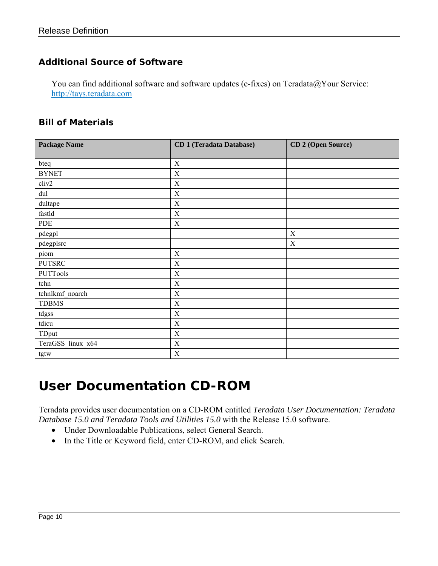#### <span id="page-9-0"></span>**Additional Source of Software**

You can find additional software and software updates (e-fixes) on Teradata@Your Service: [http://tays.teradata.com](http://tays.teradata.com/)

#### <span id="page-9-1"></span>**Bill of Materials**

| <b>Package Name</b> | <b>CD 1 (Teradata Database)</b> | CD 2 (Open Source) |
|---------------------|---------------------------------|--------------------|
|                     |                                 |                    |
| bteq                | $\mathbf X$                     |                    |
| <b>BYNET</b>        | $\mathbf X$                     |                    |
| cliv2               | $\mathbf X$                     |                    |
| dul                 | X                               |                    |
| dultape             | $\mathbf X$                     |                    |
| fastld              | $\mathbf X$                     |                    |
| PDE                 | $\mathbf X$                     |                    |
| pdegpl              |                                 | $\mathbf X$        |
| pdegplsrc           |                                 | X                  |
| piom                | $\mathbf X$                     |                    |
| <b>PUTSRC</b>       | $\mathbf X$                     |                    |
| PUTTools            | $\mathbf X$                     |                    |
| tchn                | $\mathbf X$                     |                    |
| tchnlkmf_noarch     | $\mathbf X$                     |                    |
| <b>TDBMS</b>        | $\mathbf X$                     |                    |
| tdgss               | $\mathbf X$                     |                    |
| tdicu               | $\mathbf X$                     |                    |
| TDput               | $\mathbf X$                     |                    |
| TeraGSS_linux_x64   | $\mathbf X$                     |                    |
| tgtw                | $\mathbf X$                     |                    |

#### <span id="page-9-2"></span>*User Documentation CD-ROM*

Teradata provides user documentation on a CD-ROM entitled *Teradata User Documentation: Teradata Database 15.0 and Teradata Tools and Utilities 15.0* with the Release 15.0 software.

- Under Downloadable Publications, select General Search.
- In the Title or Keyword field, enter CD-ROM, and click Search.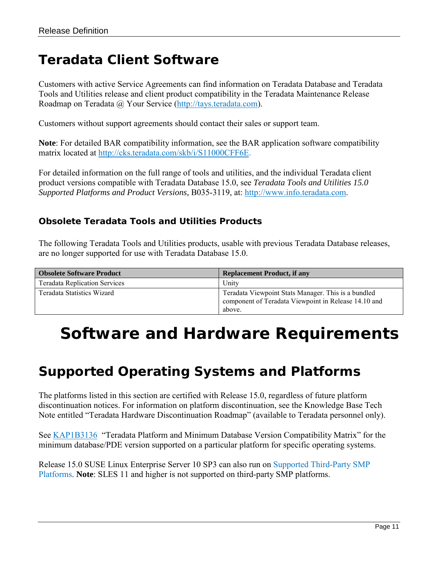#### <span id="page-10-0"></span>*Teradata Client Software*

Customers with active Service Agreements can find information on Teradata Database and Teradata Tools and Utilities release and client product compatibility in the Teradata Maintenance Release Roadmap on Teradata @ Your Service [\(http://tays.teradata.com\)](http://tays.teradata.com/).

Customers without support agreements should contact their sales or support team.

**Note**: For detailed BAR compatibility information, see the BAR application software compatibility matrix located at [http://cks.teradata.com/skb/i/S11000CFF6E.](http://cks.teradata.com/skb/i/S11000CFF6E)

For detailed information on the full range of tools and utilities, and the individual Teradata client product versions compatible with Teradata Database 15.0, see *Teradata Tools and Utilities 15.0 Supported Platforms and Product Versions,* B035-3119, at: [http://www.info.teradata.com.](http://www.info.teradata.com/)

#### <span id="page-10-1"></span>**Obsolete Teradata Tools and Utilities Products**

The following Teradata Tools and Utilities products, usable with previous Teradata Database releases, are no longer supported for use with Teradata Database 15.0.

| <b>Obsolete Software Product</b>     | <b>Replacement Product, if any</b>                                                                                    |
|--------------------------------------|-----------------------------------------------------------------------------------------------------------------------|
| <b>Teradata Replication Services</b> | Unity                                                                                                                 |
| Teradata Statistics Wizard           | Teradata Viewpoint Stats Manager. This is a bundled<br>component of Teradata Viewpoint in Release 14.10 and<br>above. |

## <span id="page-10-2"></span>**Software and Hardware Requirements**

#### <span id="page-10-3"></span>*Supported Operating Systems and Platforms*

The platforms listed in this section are certified with Release 15.0, regardless of future platform discontinuation notices. For information on platform discontinuation, see the Knowledge Base Tech Note entitled "Teradata Hardware Discontinuation Roadmap" (available to Teradata personnel only).

See [KAP1B3136](http://cks.teradata.com/support/general/newcase.nsf/i/KAP1B3136?OpenDocument) "Teradata Platform and Minimum Database Version Compatibility Matrix" for the minimum database/PDE version supported on a particular platform for specific operating systems.

Release 15.0 SUSE Linux Enterprise Server 10 SP3 can also run on [Supported Third-Party SMP](#page-11-4)  [Platforms.](#page-11-4) **Note**: SLES 11 and higher is not supported on third-party SMP platforms.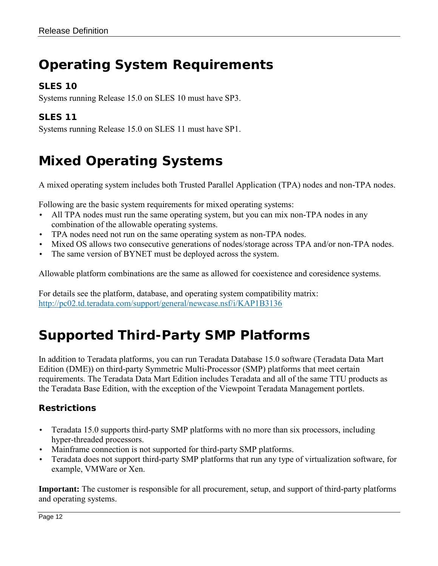### <span id="page-11-0"></span>*Operating System Requirements*

#### <span id="page-11-1"></span>**SLES 10**

Systems running Release 15.0 on SLES 10 must have SP3.

#### <span id="page-11-2"></span>**SLES 11**

Systems running Release 15.0 on SLES 11 must have SP1.

### <span id="page-11-3"></span>*Mixed Operating Systems*

A mixed operating system includes both Trusted Parallel Application (TPA) nodes and non-TPA nodes.

Following are the basic system requirements for mixed operating systems:

- All TPA nodes must run the same operating system, but you can mix non-TPA nodes in any combination of the allowable operating systems.
- TPA nodes need not run on the same operating system as non-TPA nodes.
- Mixed OS allows two consecutive generations of nodes/storage across TPA and/or non-TPA nodes.
- The same version of BYNET must be deployed across the system.

Allowable platform combinations are the same as allowed for coexistence and coresidence systems.

For details see the platform, database, and operating system compatibility matrix: <http://pc02.td.teradata.com/support/general/newcase.nsf/i/KAP1B3136>

### <span id="page-11-4"></span>*Supported Third-Party SMP Platforms*

In addition to Teradata platforms, you can run Teradata Database 15.0 software (Teradata Data Mart Edition (DME)) on third-party Symmetric Multi-Processor (SMP) platforms that meet certain requirements. The Teradata Data Mart Edition includes Teradata and all of the same TTU products as the Teradata Base Edition, with the exception of the Viewpoint Teradata Management portlets.

#### <span id="page-11-5"></span>**Restrictions**

- Teradata 15.0 supports third-party SMP platforms with no more than six processors, including hyper-threaded processors.
- Mainframe connection is not supported for third-party SMP platforms.
- Teradata does not support third-party SMP platforms that run any type of virtualization software, for example, VMWare or Xen.

**Important:** The customer is responsible for all procurement, setup, and support of third-party platforms and operating systems.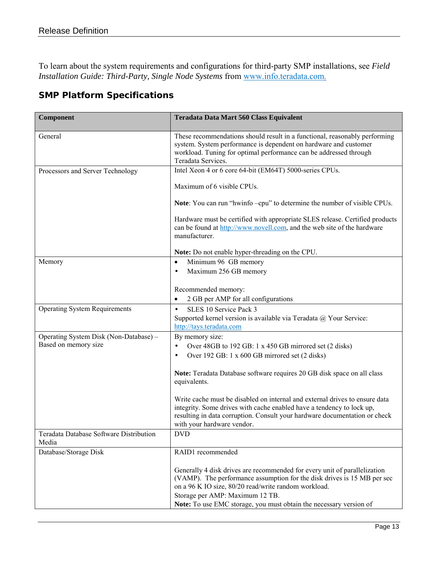To learn about the system requirements and configurations for third-party SMP installations, see *Field Installation Guide: Third-Party, Single Node Systems* from [www.info.teradata.com.](http://www.info.teradata.com/)

#### <span id="page-12-0"></span>**SMP Platform Specifications**

| Component                                        | Teradata Data Mart 560 Class Equivalent                                                                                                                                                                                                                          |
|--------------------------------------------------|------------------------------------------------------------------------------------------------------------------------------------------------------------------------------------------------------------------------------------------------------------------|
| General                                          | These recommendations should result in a functional, reasonably performing<br>system. System performance is dependent on hardware and customer<br>workload. Tuning for optimal performance can be addressed through<br>Teradata Services.                        |
| Processors and Server Technology                 | Intel Xeon 4 or 6 core 64-bit (EM64T) 5000-series CPUs.                                                                                                                                                                                                          |
|                                                  | Maximum of 6 visible CPUs.                                                                                                                                                                                                                                       |
|                                                  | Note: You can run "hwinfo -cpu" to determine the number of visible CPUs.                                                                                                                                                                                         |
|                                                  | Hardware must be certified with appropriate SLES release. Certified products<br>can be found at http://www.novell.com, and the web site of the hardware<br>manufacturer.                                                                                         |
|                                                  | Note: Do not enable hyper-threading on the CPU.                                                                                                                                                                                                                  |
| Memory                                           | Minimum 96 GB memory<br>$\bullet$                                                                                                                                                                                                                                |
|                                                  | Maximum 256 GB memory<br>$\bullet$                                                                                                                                                                                                                               |
|                                                  | Recommended memory:                                                                                                                                                                                                                                              |
|                                                  | 2 GB per AMP for all configurations<br>$\bullet$                                                                                                                                                                                                                 |
| <b>Operating System Requirements</b>             | SLES 10 Service Pack 3<br>$\bullet$                                                                                                                                                                                                                              |
|                                                  | Supported kernel version is available via Teradata @ Your Service:                                                                                                                                                                                               |
| Operating System Disk (Non-Database) -           | http://tays.teradata.com<br>By memory size:                                                                                                                                                                                                                      |
| Based on memory size                             | Over 48GB to 192 GB: 1 x 450 GB mirrored set (2 disks)<br>$\bullet$                                                                                                                                                                                              |
|                                                  | Over 192 GB: 1 x 600 GB mirrored set (2 disks)<br>$\bullet$                                                                                                                                                                                                      |
|                                                  | Note: Teradata Database software requires 20 GB disk space on all class<br>equivalents.                                                                                                                                                                          |
|                                                  | Write cache must be disabled on internal and external drives to ensure data<br>integrity. Some drives with cache enabled have a tendency to lock up,<br>resulting in data corruption. Consult your hardware documentation or check<br>with your hardware vendor. |
| Teradata Database Software Distribution<br>Media | <b>DVD</b>                                                                                                                                                                                                                                                       |
| Database/Storage Disk                            | RAID1 recommended                                                                                                                                                                                                                                                |
|                                                  | Generally 4 disk drives are recommended for every unit of parallelization<br>(VAMP). The performance assumption for the disk drives is 15 MB per sec<br>on a 96 K IO size, 80/20 read/write random workload.<br>Storage per AMP: Maximum 12 TB.                  |
|                                                  | Note: To use EMC storage, you must obtain the necessary version of                                                                                                                                                                                               |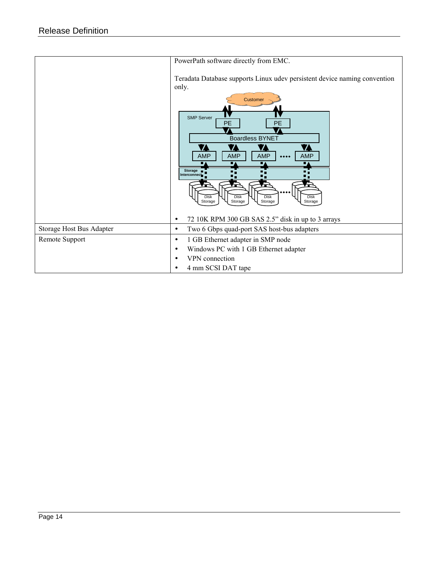|                          | PowerPath software directly from EMC.                                                                                                                                                                                                                                                                                                                                                                            |
|--------------------------|------------------------------------------------------------------------------------------------------------------------------------------------------------------------------------------------------------------------------------------------------------------------------------------------------------------------------------------------------------------------------------------------------------------|
|                          | Teradata Database supports Linux udev persistent device naming convention<br>only.<br>Customer<br><b>SMP Server</b><br><b>PE</b><br>PE<br><b>Boardless BYNET</b><br>Z<br>1<br><b>AMP</b><br><b>AMP</b><br><b>AMP</b><br><b>AMP</b><br>$\bullet\bullet\bullet\bullet$<br>Storage <b>n</b><br>Interconnect<br><b>Disk</b><br><b>Disk</b><br><b>Disk</b><br><b>Disk</b><br>Storage<br>Storage<br>Storage<br>Storage |
|                          | 72 10K RPM 300 GB SAS 2.5" disk in up to 3 arrays                                                                                                                                                                                                                                                                                                                                                                |
| Storage Host Bus Adapter | Two 6 Gbps quad-port SAS host-bus adapters<br>$\bullet$                                                                                                                                                                                                                                                                                                                                                          |
| Remote Support           | 1 GB Ethernet adapter in SMP node<br>$\bullet$                                                                                                                                                                                                                                                                                                                                                                   |
|                          | Windows PC with 1 GB Ethernet adapter<br>$\bullet$                                                                                                                                                                                                                                                                                                                                                               |
|                          | VPN connection<br>$\bullet$                                                                                                                                                                                                                                                                                                                                                                                      |
|                          | 4 mm SCSI DAT tape<br>٠                                                                                                                                                                                                                                                                                                                                                                                          |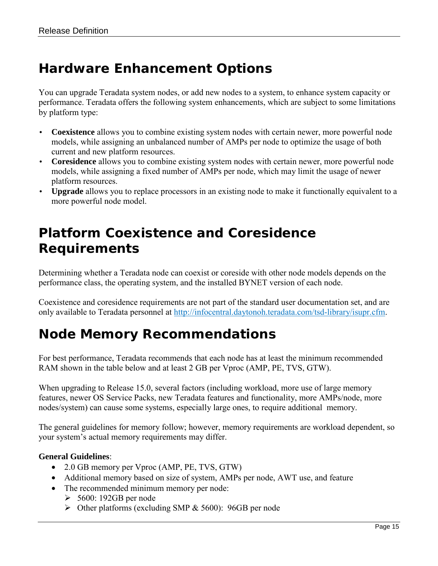### <span id="page-14-0"></span>*Hardware Enhancement Options*

You can upgrade Teradata system nodes, or add new nodes to a system, to enhance system capacity or performance. Teradata offers the following system enhancements, which are subject to some limitations by platform type:

- **Coexistence** allows you to combine existing system nodes with certain newer, more powerful node models, while assigning an unbalanced number of AMPs per node to optimize the usage of both current and new platform resources.
- **Coresidence** allows you to combine existing system nodes with certain newer, more powerful node models, while assigning a fixed number of AMPs per node, which may limit the usage of newer platform resources.
- **Upgrade** allows you to replace processors in an existing node to make it functionally equivalent to a more powerful node model.

#### <span id="page-14-1"></span>*Platform Coexistence and Coresidence Requirements*

Determining whether a Teradata node can coexist or coreside with other node models depends on the performance class, the operating system, and the installed BYNET version of each node.

Coexistence and coresidence requirements are not part of the standard user documentation set, and are only available to Teradata personnel at [http://infocentral.daytonoh.teradata.com/tsd-library/isupr.cfm.](http://infocentral.daytonoh.teradata.com/tsd-library/isupr.cfm)

#### <span id="page-14-2"></span>*Node Memory Recommendations*

For best performance, Teradata recommends that each node has at least the minimum recommended RAM shown in the table below and at least 2 GB per Vproc (AMP, PE, TVS, GTW).

When upgrading to Release 15.0, several factors (including workload, more use of large memory features, newer OS Service Packs, new Teradata features and functionality, more AMPs/node, more nodes/system) can cause some systems, especially large ones, to require additional memory.

The general guidelines for memory follow; however, memory requirements are workload dependent, so your system's actual memory requirements may differ.

#### **General Guidelines**:

- 2.0 GB memory per Vproc (AMP, PE, TVS, GTW)
- Additional memory based on size of system, AMPs per node, AWT use, and feature
- The recommended minimum memory per node:
	- $\geq 5600$ : 192GB per node
	- Other platforms (excluding SMP & 5600): 96GB per node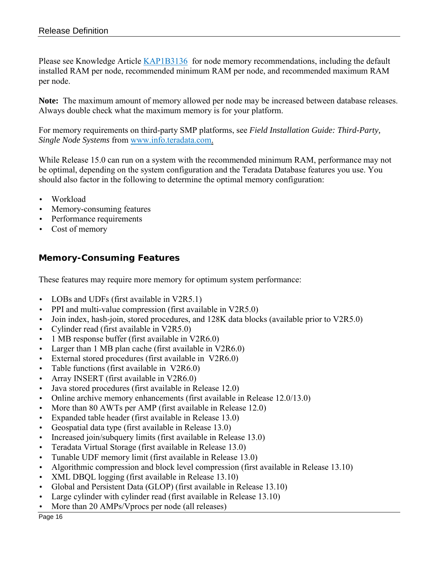Please see Knowledge Article [KAP1B3136](http://cks.teradata.com/support/general/newcase.nsf/i/KAP1B3136?OpenDocument) for node memory recommendations, including the default installed RAM per node, recommended minimum RAM per node, and recommended maximum RAM per node.

**Note:** The maximum amount of memory allowed per node may be increased between database releases. Always double check what the maximum memory is for your platform.

For memory requirements on third-party SMP platforms, see *Field Installation Guide: Third-Party, Single Node Systems* from [www.info.teradata.com.](http://www.info.teradata.com/)

While Release 15.0 can run on a system with the recommended minimum RAM, performance may not be optimal, depending on the system configuration and the Teradata Database features you use. You should also factor in the following to determine the optimal memory configuration:

- Workload
- Memory-consuming features
- Performance requirements
- Cost of memory

#### <span id="page-15-0"></span>**Memory-Consuming Features**

These features may require more memory for optimum system performance:

- LOBs and UDFs (first available in V2R5.1)
- PPI and multi-value compression (first available in V2R5.0)
- Join index, hash-join, stored procedures, and 128K data blocks (available prior to V2R5.0)
- Cylinder read (first available in V2R5.0)
- 1 MB response buffer (first available in V2R6.0)
- Larger than 1 MB plan cache (first available in V2R6.0)
- External stored procedures (first available in V2R6.0)
- Table functions (first available in V2R6.0)
- Array INSERT (first available in V2R6.0)
- Java stored procedures (first available in Release 12.0)
- Online archive memory enhancements (first available in Release 12.0/13.0)
- More than 80 AWTs per AMP (first available in Release 12.0)
- Expanded table header (first available in Release 13.0)
- Geospatial data type (first available in Release 13.0)
- Increased join/subquery limits (first available in Release 13.0)
- Teradata Virtual Storage (first available in Release 13.0)
- Tunable UDF memory limit (first available in Release 13.0)
- Algorithmic compression and block level compression (first available in Release 13.10)
- XML DBQL logging (first available in Release 13.10)
- Global and Persistent Data (GLOP) (first available in Release 13.10)
- Large cylinder with cylinder read (first available in Release 13.10)
- More than 20 AMPs/Vprocs per node (all releases)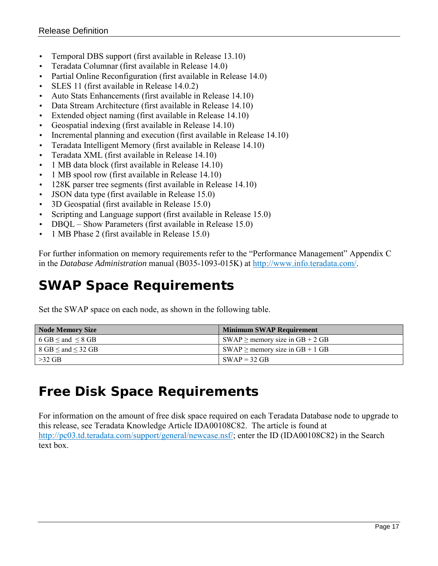- Temporal DBS support (first available in Release 13.10)
- Teradata Columnar (first available in Release 14.0)
- Partial Online Reconfiguration (first available in Release 14.0)
- SLES 11 (first available in Release 14.0.2)
- Auto Stats Enhancements (first available in Release 14.10)
- Data Stream Architecture (first available in Release 14.10)
- Extended object naming (first available in Release 14.10)
- Geospatial indexing (first available in Release 14.10)
- Incremental planning and execution (first available in Release 14.10)
- Teradata Intelligent Memory (first available in Release 14.10)
- Teradata XML (first available in Release 14.10)
- 1 MB data block (first available in Release 14.10)
- 1 MB spool row (first available in Release 14.10)
- 128K parser tree segments (first available in Release 14.10)
- JSON data type (first available in Release 15.0)
- 3D Geospatial (first available in Release 15.0)
- Scripting and Language support (first available in Release 15.0)
- DBQL Show Parameters (first available in Release 15.0)
- 1 MB Phase 2 (first available in Release 15.0)

For further information on memory requirements refer to the "Performance Management" Appendix C in the *Database Administration* manual (B035-1093-015K) at [http://www.info.teradata.com/.](http://www.info.teradata.com/)

#### <span id="page-16-0"></span>*SWAP Space Requirements*

Set the SWAP space on each node, as shown in the following table.

| <b>Node Memory Size</b>                           | <b>Minimum SWAP Requirement</b>                            |
|---------------------------------------------------|------------------------------------------------------------|
| 6 GB $\leq$ and $\leq$ 8 GB                       | $\text{SWAP} \geq \text{memory size in GB} + 2 \text{ GB}$ |
| $8 \text{ GB} \leq \text{and} \leq 32 \text{ GB}$ | $\text{SWAP} \geq \text{memory size in GB} + 1 \text{ GB}$ |
| $>32$ GB                                          | $SWAP = 32 GB$                                             |

### <span id="page-16-1"></span>*Free Disk Space Requirements*

For information on the amount of free disk space required on each Teradata Database node to upgrade to this release, see Teradata Knowledge Article IDA00108C82. The article is found at [http://pc03.td.teradata.com/support/general/newcase.nsf/;](http://pc03.td.teradata.com/support/general/newcase.nsf/) enter the ID (IDA00108C82) in the Search text box.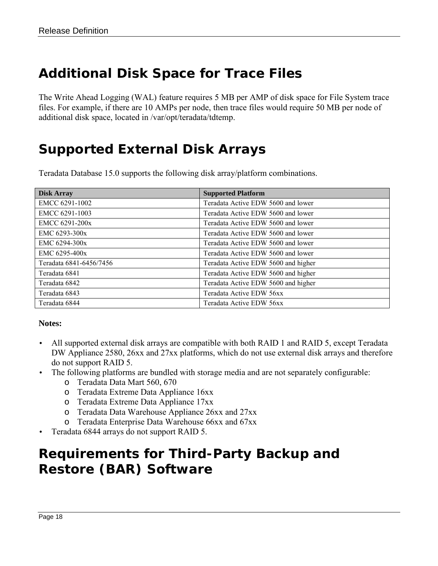### <span id="page-17-0"></span>*Additional Disk Space for Trace Files*

The Write Ahead Logging (WAL) feature requires 5 MB per AMP of disk space for File System trace files. For example, if there are 10 AMPs per node, then trace files would require 50 MB per node of additional disk space, located in /var/opt/teradata/tdtemp.

#### <span id="page-17-1"></span>*Supported External Disk Arrays*

Teradata Database 15.0 supports the following disk array/platform combinations.

| <b>Disk Array</b>       | <b>Supported Platform</b>           |
|-------------------------|-------------------------------------|
| EMCC 6291-1002          | Teradata Active EDW 5600 and lower  |
| EMCC 6291-1003          | Teradata Active EDW 5600 and lower  |
| EMCC 6291-200x          | Teradata Active EDW 5600 and lower  |
| EMC 6293-300x           | Teradata Active EDW 5600 and lower  |
| EMC $6294-300x$         | Teradata Active EDW 5600 and lower  |
| EMC $6295-400x$         | Teradata Active EDW 5600 and lower  |
| Teradata 6841-6456/7456 | Teradata Active EDW 5600 and higher |
| Teradata 6841           | Teradata Active EDW 5600 and higher |
| Teradata 6842           | Teradata Active EDW 5600 and higher |
| Teradata 6843           | Teradata Active EDW 56xx            |
| Teradata 6844           | Teradata Active EDW 56xx            |

#### **Notes:**

- All supported external disk arrays are compatible with both RAID 1 and RAID 5, except Teradata DW Appliance 2580, 26xx and 27xx platforms, which do not use external disk arrays and therefore do not support RAID 5.
- The following platforms are bundled with storage media and are not separately configurable:
	- o Teradata Data Mart 560, 670
	- o Teradata Extreme Data Appliance 16xx
	- o Teradata Extreme Data Appliance 17xx
	- o Teradata Data Warehouse Appliance 26xx and 27xx
	- o Teradata Enterprise Data Warehouse 66xx and 67xx
- <span id="page-17-2"></span>• Teradata 6844 arrays do not support RAID 5.

#### *Requirements for Third-Party Backup and Restore (BAR) Software*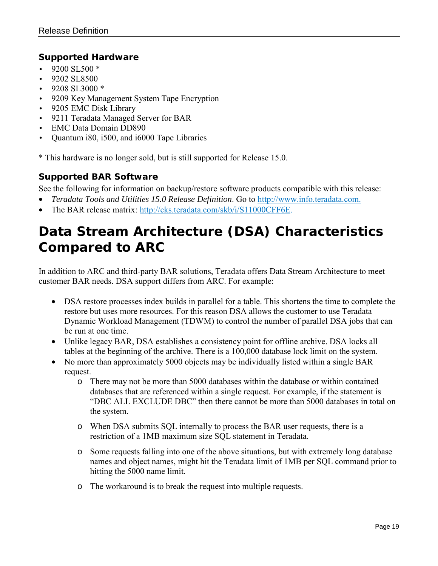#### <span id="page-18-0"></span>**Supported Hardware**

- 9200 SL500 \*
- 9202 SL8500
- $\cdot$  9208 SL3000  $*$
- 9209 Key Management System Tape Encryption
- 9205 EMC Disk Library
- 9211 Teradata Managed Server for BAR
- EMC Data Domain DD890
- Quantum i80, i500, and i6000 Tape Libraries

\* This hardware is no longer sold, but is still supported for Release 15.0.

#### <span id="page-18-1"></span>**Supported BAR Software**

See the following for information on backup/restore software products compatible with this release:

- *Teradata Tools and Utilities 15.0 Release Definition*. Go to [http://www.info.teradata.com.](http://www.info.teradata.com/)
- The BAR release matrix: [http://cks.teradata.com/skb/i/S11000CFF6E.](http://cks.teradata.com/skb/i/S11000CFF6E)

### <span id="page-18-2"></span>*Data Stream Architecture (DSA) Characteristics Compared to ARC*

In addition to ARC and third-party BAR solutions, Teradata offers Data Stream Architecture to meet customer BAR needs. DSA support differs from ARC. For example:

- DSA restore processes index builds in parallel for a table. This shortens the time to complete the restore but uses more resources. For this reason DSA allows the customer to use Teradata Dynamic Workload Management (TDWM) to control the number of parallel DSA jobs that can be run at one time.
- Unlike legacy BAR, DSA establishes a consistency point for offline archive. DSA locks all tables at the beginning of the archive. There is a 100,000 database lock limit on the system.
- No more than approximately 5000 objects may be individually listed within a single BAR request.
	- o There may not be more than 5000 databases within the database or within contained databases that are referenced within a single request. For example, if the statement is "DBC ALL EXCLUDE DBC" then there cannot be more than 5000 databases in total on the system.
	- o When DSA submits SQL internally to process the BAR user requests, there is a restriction of a 1MB maximum size SQL statement in Teradata.
	- o Some requests falling into one of the above situations, but with extremely long database names and object names, might hit the Teradata limit of 1MB per SQL command prior to hitting the 5000 name limit.
	- o The workaround is to break the request into multiple requests.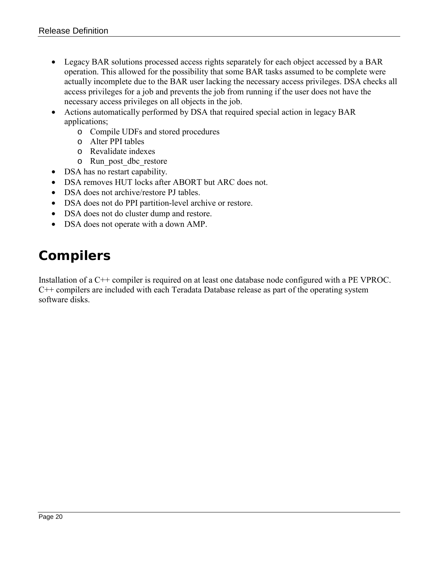- Legacy BAR solutions processed access rights separately for each object accessed by a BAR operation. This allowed for the possibility that some BAR tasks assumed to be complete were actually incomplete due to the BAR user lacking the necessary access privileges. DSA checks all access privileges for a job and prevents the job from running if the user does not have the necessary access privileges on all objects in the job.
- Actions automatically performed by DSA that required special action in legacy BAR applications;
	- o Compile UDFs and stored procedures
	- o Alter PPI tables
	- o Revalidate indexes
	- o Run\_post\_dbc\_restore
- DSA has no restart capability.
- DSA removes HUT locks after ABORT but ARC does not.
- DSA does not archive/restore PJ tables.
- DSA does not do PPI partition-level archive or restore.
- DSA does not do cluster dump and restore.
- DSA does not operate with a down AMP.

#### <span id="page-19-0"></span>*Compilers*

Installation of a C++ compiler is required on at least one database node configured with a PE VPROC. C++ compilers are included with each Teradata Database release as part of the operating system software disks.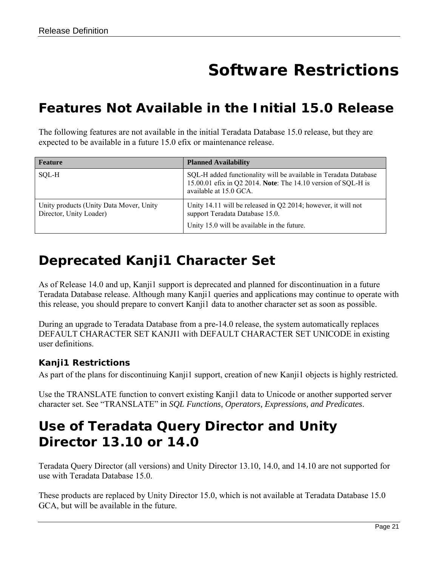# **Software Restrictions**

#### <span id="page-20-1"></span><span id="page-20-0"></span>*Features Not Available in the Initial 15.0 Release*

The following features are not available in the initial Teradata Database 15.0 release, but they are expected to be available in a future 15.0 efix or maintenance release.

| <b>Feature</b>                                                     | <b>Planned Availability</b>                                                                                                                                 |
|--------------------------------------------------------------------|-------------------------------------------------------------------------------------------------------------------------------------------------------------|
| SOL-H                                                              | SQL-H added functionality will be available in Teradata Database<br>15.00.01 efix in Q2 2014. Note: The 14.10 version of SQL-H is<br>available at 15.0 GCA. |
| Unity products (Unity Data Mover, Unity<br>Director, Unity Loader) | Unity 14.11 will be released in $Q2 2014$ ; however, it will not<br>support Teradata Database 15.0.<br>Unity 15.0 will be available in the future.          |

#### <span id="page-20-2"></span>*Deprecated Kanji1 Character Set*

As of Release 14.0 and up, Kanji1 support is deprecated and planned for discontinuation in a future Teradata Database release. Although many Kanji1 queries and applications may continue to operate with this release, you should prepare to convert Kanji1 data to another character set as soon as possible.

During an upgrade to Teradata Database from a pre-14.0 release, the system automatically replaces DEFAULT CHARACTER SET KANJI1 with DEFAULT CHARACTER SET UNICODE in existing user definitions.

#### <span id="page-20-3"></span>**Kanji1 Restrictions**

As part of the plans for discontinuing Kanji1 support, creation of new Kanji1 objects is highly restricted.

Use the TRANSLATE function to convert existing Kanji1 data to Unicode or another supported server character set. See "TRANSLATE" in *SQL Functions, Operators, Expressions, and Predicates*.

#### <span id="page-20-4"></span>*Use of Teradata Query Director and Unity Director 13.10 or 14.0*

Teradata Query Director (all versions) and Unity Director 13.10, 14.0, and 14.10 are not supported for use with Teradata Database 15.0.

These products are replaced by Unity Director 15.0, which is not available at Teradata Database 15.0 GCA, but will be available in the future.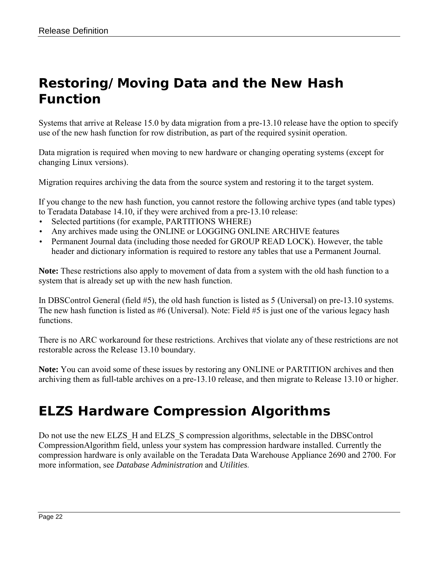### <span id="page-21-0"></span>*Restoring/Moving Data and the New Hash Function*

Systems that arrive at Release 15.0 by data migration from a pre-13.10 release have the option to specify use of the new hash function for row distribution, as part of the required sysinit operation.

Data migration is required when moving to new hardware or changing operating systems (except for changing Linux versions).

Migration requires archiving the data from the source system and restoring it to the target system.

If you change to the new hash function, you cannot restore the following archive types (and table types) to Teradata Database 14.10, if they were archived from a pre-13.10 release:

- Selected partitions (for example, PARTITIONS WHERE)
- Any archives made using the ONLINE or LOGGING ONLINE ARCHIVE features
- Permanent Journal data (including those needed for GROUP READ LOCK). However, the table header and dictionary information is required to restore any tables that use a Permanent Journal.

**Note:** These restrictions also apply to movement of data from a system with the old hash function to a system that is already set up with the new hash function.

In DBSControl General (field #5), the old hash function is listed as 5 (Universal) on pre-13.10 systems. The new hash function is listed as #6 (Universal). Note: Field #5 is just one of the various legacy hash functions.

There is no ARC workaround for these restrictions. Archives that violate any of these restrictions are not restorable across the Release 13.10 boundary.

**Note:** You can avoid some of these issues by restoring any ONLINE or PARTITION archives and then archiving them as full-table archives on a pre-13.10 release, and then migrate to Release 13.10 or higher.

#### <span id="page-21-1"></span>*ELZS Hardware Compression Algorithms*

Do not use the new ELZS H and ELZS S compression algorithms, selectable in the DBSControl CompressionAlgorithm field, unless your system has compression hardware installed. Currently the compression hardware is only available on the Teradata Data Warehouse Appliance 2690 and 2700. For more information, see *Database Administration* and *Utilities.*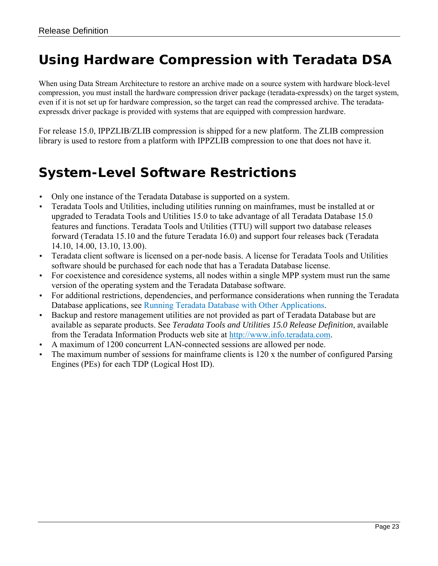#### <span id="page-22-0"></span>*Using Hardware Compression with Teradata DSA*

When using Data Stream Architecture to restore an archive made on a source system with hardware block-level compression, you must install the hardware compression driver package (teradata-expressdx) on the target system, even if it is not set up for hardware compression, so the target can read the compressed archive. The teradataexpressdx driver package is provided with systems that are equipped with compression hardware.

For release 15.0, IPPZLIB/ZLIB compression is shipped for a new platform. The ZLIB compression library is used to restore from a platform with IPPZLIB compression to one that does not have it.

#### <span id="page-22-1"></span>*System-Level Software Restrictions*

- Only one instance of the Teradata Database is supported on a system.
- Teradata Tools and Utilities, including utilities running on mainframes, must be installed at or upgraded to Teradata Tools and Utilities 15.0 to take advantage of all Teradata Database 15.0 features and functions. Teradata Tools and Utilities (TTU) will support two database releases forward (Teradata 15.10 and the future Teradata 16.0) and support four releases back (Teradata 14.10, 14.00, 13.10, 13.00).
- Teradata client software is licensed on a per-node basis. A license for Teradata Tools and Utilities software should be purchased for each node that has a Teradata Database license.
- For coexistence and coresidence systems, all nodes within a single MPP system must run the same version of the operating system and the Teradata Database software.
- For additional restrictions, dependencies, and performance considerations when running the Teradata Database applications, see [Running Teradata Database with Other Applications.](#page-35-3)
- Backup and restore management utilities are not provided as part of Teradata Database but are available as separate products. See *Teradata Tools and Utilities 15.0 Release Definition*, available from the Teradata Information Products web site at [http://www.info.teradata.com.](http://www.info.teradata.com/)
- A maximum of 1200 concurrent LAN-connected sessions are allowed per node.
- The maximum number of sessions for mainframe clients is 120 x the number of configured Parsing Engines (PEs) for each TDP (Logical Host ID).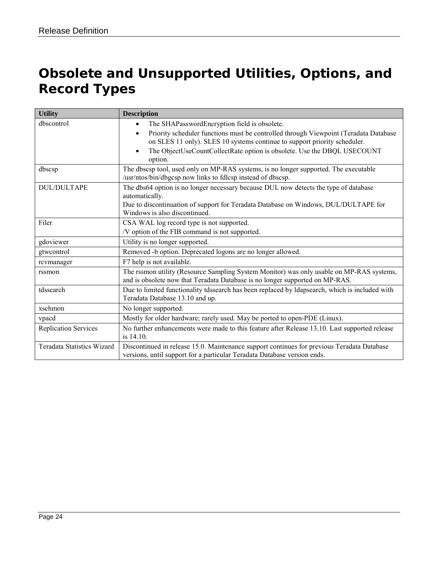## <span id="page-23-0"></span>*Obsolete and Unsupported Utilities, Options, and Record Types*

| <b>Utility</b>              | <b>Description</b>                                                                                                                                                                                                                                                                                                                |
|-----------------------------|-----------------------------------------------------------------------------------------------------------------------------------------------------------------------------------------------------------------------------------------------------------------------------------------------------------------------------------|
| dbscontrol                  | The SHAPasswordEncryption field is obsolete.<br>$\bullet$<br>Priority scheduler functions must be controlled through Viewpoint (Teradata Database<br>$\bullet$<br>on SLES 11 only). SLES 10 systems continue to support priority scheduler.<br>The ObjectUseCountCollectRate option is obsolete. Use the DBQL USECOUNT<br>option. |
| dbscsp                      | The dbscsp tool, used only on MP-RAS systems, is no longer supported. The executable<br>/usr/ntos/bin/dbgcsp now links to fdlcsp instead of dbscsp.                                                                                                                                                                               |
| <b>DUL/DULTAPE</b>          | The dbs64 option is no longer necessary because DUL now detects the type of database<br>automatically.<br>Due to discontinuation of support for Teradata Database on Windows, DUL/DULTAPE for<br>Windows is also discontinued.                                                                                                    |
| Filer                       | CSA WAL log record type is not supported.<br>/V option of the FIB command is not supported.                                                                                                                                                                                                                                       |
| gdoviewer                   | Utility is no longer supported.                                                                                                                                                                                                                                                                                                   |
| gtwcontrol                  | Removed -b option. Deprecated logons are no longer allowed.                                                                                                                                                                                                                                                                       |
| rcvmanager                  | F7 help is not available.                                                                                                                                                                                                                                                                                                         |
| rssmon                      | The rssmon utility (Resource Sampling System Monitor) was only usable on MP-RAS systems,<br>and is obsolete now that Teradata Database is no longer supported on MP-RAS.                                                                                                                                                          |
| tdssearch                   | Due to limited functionality tdssearch has been replaced by Idapsearch, which is included with<br>Teradata Database 13.10 and up.                                                                                                                                                                                                 |
| xschmon                     | No longer supported.                                                                                                                                                                                                                                                                                                              |
| vpacd                       | Mostly for older hardware; rarely used. May be ported to open-PDE (Linux).                                                                                                                                                                                                                                                        |
| <b>Replication Services</b> | No further enhancements were made to this feature after Release 13.10. Last supported release<br>is 14.10.                                                                                                                                                                                                                        |
| Teradata Statistics Wizard  | Discontinued in release 15.0. Maintenance support continues for previous Teradata Database<br>versions, until support for a particular Teradata Database version ends.                                                                                                                                                            |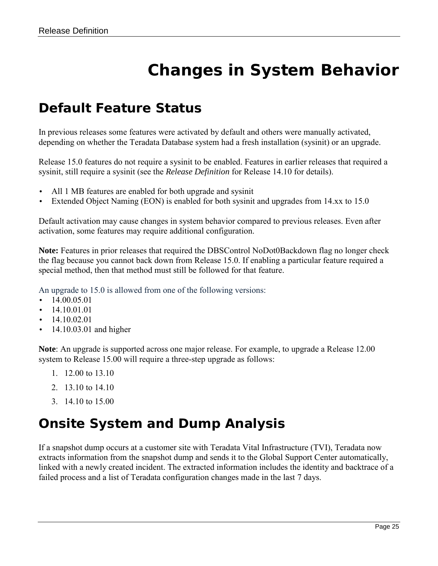# **Changes in System Behavior**

#### <span id="page-24-1"></span><span id="page-24-0"></span>*Default Feature Status*

In previous releases some features were activated by default and others were manually activated, depending on whether the Teradata Database system had a fresh installation (sysinit) or an upgrade.

Release 15.0 features do not require a sysinit to be enabled. Features in earlier releases that required a sysinit, still require a sysinit (see the *Release Definition* for Release 14.10 for details).

- All 1 MB features are enabled for both upgrade and sysinit
- Extended Object Naming (EON) is enabled for both sysinit and upgrades from 14.xx to 15.0

Default activation may cause changes in system behavior compared to previous releases. Even after activation, some features may require additional configuration.

**Note:** Features in prior releases that required the DBSControl NoDot0Backdown flag no longer check the flag because you cannot back down from Release 15.0. If enabling a particular feature required a special method, then that method must still be followed for that feature.

An upgrade to 15.0 is allowed from one of the following versions:

- $\cdot$  14.00.05.01
- 14.10.01.01
- 14.10.02.01
- 14.10.03.01 and higher

**Note**: An upgrade is supported across one major release. For example, to upgrade a Release 12.00 system to Release 15.00 will require a three-step upgrade as follows:

- 1. 12.00 to 13.10
- 2. 13.10 to 14.10
- 3. 14.10 to 15.00

#### <span id="page-24-2"></span>*Onsite System and Dump Analysis*

If a snapshot dump occurs at a customer site with Teradata Vital Infrastructure (TVI), Teradata now extracts information from the snapshot dump and sends it to the Global Support Center automatically, linked with a newly created incident. The extracted information includes the identity and backtrace of a failed process and a list of Teradata configuration changes made in the last 7 days.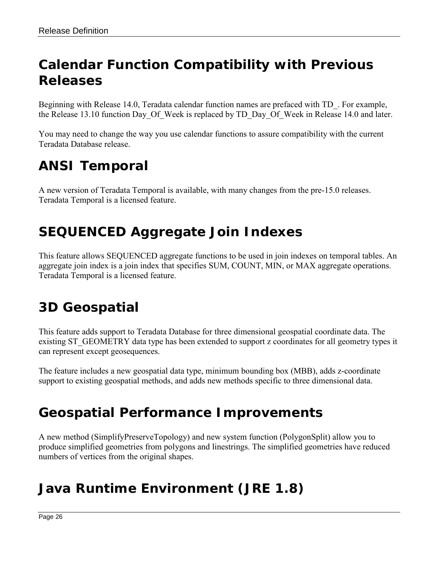### <span id="page-25-0"></span>*Calendar Function Compatibility with Previous Releases*

Beginning with Release 14.0, Teradata calendar function names are prefaced with TD\_. For example, the Release 13.10 function Day Of Week is replaced by TD Day Of Week in Release 14.0 and later.

You may need to change the way you use calendar functions to assure compatibility with the current Teradata Database release.

### <span id="page-25-1"></span>*ANSI Temporal*

A new version of Teradata Temporal is available, with many changes from the pre-15.0 releases. Teradata Temporal is a licensed feature.

### <span id="page-25-2"></span>*SEQUENCED Aggregate Join Indexes*

This feature allows SEQUENCED aggregate functions to be used in join indexes on temporal tables. An aggregate join index is a join index that specifies SUM, COUNT, MIN, or MAX aggregate operations. Teradata Temporal is a licensed feature.

### <span id="page-25-3"></span>*3D Geospatial*

This feature adds support to Teradata Database for three dimensional geospatial coordinate data. The existing ST\_GEOMETRY data type has been extended to support z coordinates for all geometry types it can represent except geosequences.

The feature includes a new geospatial data type, minimum bounding box (MBB), adds z-coordinate support to existing geospatial methods, and adds new methods specific to three dimensional data.

### <span id="page-25-4"></span>*Geospatial Performance Improvements*

A new method (SimplifyPreserveTopology) and new system function (PolygonSplit) allow you to produce simplified geometries from polygons and linestrings. The simplified geometries have reduced numbers of vertices from the original shapes.

### <span id="page-25-5"></span>*Java Runtime Environment (JRE 1.8)*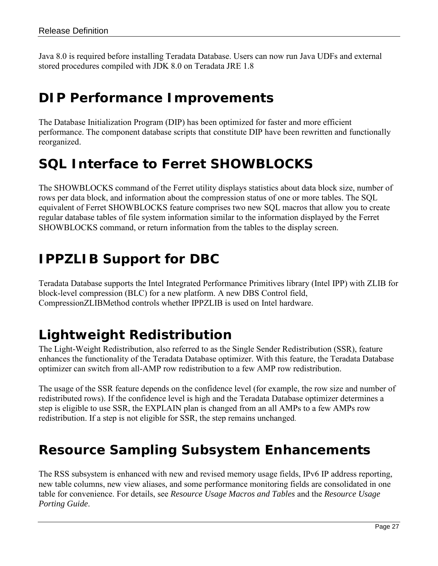Java 8.0 is required before installing Teradata Database. Users can now run Java UDFs and external stored procedures compiled with JDK 8.0 on Teradata JRE 1.8

#### <span id="page-26-0"></span>*DIP Performance Improvements*

The Database Initialization Program (DIP) has been optimized for faster and more efficient performance. The component database scripts that constitute DIP have been rewritten and functionally reorganized.

### <span id="page-26-1"></span>*SQL Interface to Ferret SHOWBLOCKS*

The SHOWBLOCKS command of the Ferret utility displays statistics about data block size, number of rows per data block, and information about the compression status of one or more tables. The SQL equivalent of Ferret SHOWBLOCKS feature comprises two new SQL macros that allow you to create regular database tables of file system information similar to the information displayed by the Ferret SHOWBLOCKS command, or return information from the tables to the display screen.

### <span id="page-26-2"></span>*IPPZLIB Support for DBC*

Teradata Database supports the Intel Integrated Performance Primitives library (Intel IPP) with ZLIB for block-level compression (BLC) for a new platform. A new DBS Control field, CompressionZLIBMethod controls whether IPPZLIB is used on Intel hardware.

### <span id="page-26-3"></span>*Lightweight Redistribution*

The Light-Weight Redistribution, also referred to as the Single Sender Redistribution (SSR), feature enhances the functionality of the Teradata Database optimizer. With this feature, the Teradata Database optimizer can switch from all-AMP row redistribution to a few AMP row redistribution.

The usage of the SSR feature depends on the confidence level (for example, the row size and number of redistributed rows). If the confidence level is high and the Teradata Database optimizer determines a step is eligible to use SSR, the EXPLAIN plan is changed from an all AMPs to a few AMPs row redistribution. If a step is not eligible for SSR, the step remains unchanged.

#### <span id="page-26-4"></span>*Resource Sampling Subsystem Enhancements*

The RSS subsystem is enhanced with new and revised memory usage fields, IPv6 IP address reporting, new table columns, new view aliases, and some performance monitoring fields are consolidated in one table for convenience. For details, see *Resource Usage Macros and Tables* and the *Resource Usage Porting Guide*.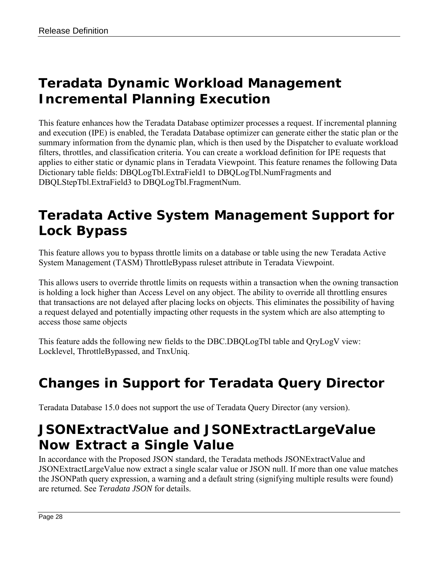### <span id="page-27-0"></span>*Teradata Dynamic Workload Management Incremental Planning Execution*

This feature enhances how the Teradata Database optimizer processes a request. If incremental planning and execution (IPE) is enabled, the Teradata Database optimizer can generate either the static plan or the summary information from the dynamic plan, which is then used by the Dispatcher to evaluate workload filters, throttles, and classification criteria. You can create a workload definition for IPE requests that applies to either static or dynamic plans in Teradata Viewpoint. This feature renames the following Data Dictionary table fields: DBQLogTbl.ExtraField1 to DBQLogTbl.NumFragments and DBQLStepTbl.ExtraField3 to DBQLogTbl.FragmentNum.

### *Teradata Active System Management Support for Lock Bypass*

This feature allows you to bypass throttle limits on a database or table using the new Teradata Active System Management (TASM) ThrottleBypass ruleset attribute in Teradata Viewpoint.

This allows users to override throttle limits on requests within a transaction when the owning transaction is holding a lock higher than Access Level on any object. The ability to override all throttling ensures that transactions are not delayed after placing locks on objects. This eliminates the possibility of having a request delayed and potentially impacting other requests in the system which are also attempting to access those same objects

This feature adds the following new fields to the DBC.DBQLogTbl table and QryLogV view: Locklevel, ThrottleBypassed, and TnxUniq.

## <span id="page-27-1"></span>*Changes in Support for Teradata Query Director*

Teradata Database 15.0 does not support the use of Teradata Query Director (any version).

#### <span id="page-27-2"></span>*JSONExtractValue and JSONExtractLargeValue Now Extract a Single Value*

In accordance with the Proposed JSON standard, the Teradata methods JSONExtractValue and JSONExtractLargeValue now extract a single scalar value or JSON null. If more than one value matches the JSONPath query expression, a warning and a default string (signifying multiple results were found) are returned. See *Teradata JSON* for details.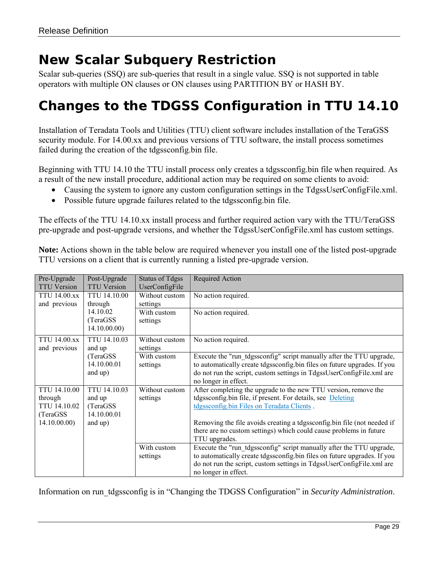#### <span id="page-28-0"></span>*New Scalar Subquery Restriction*

Scalar sub-queries (SSQ) are sub-queries that result in a single value. SSQ is not supported in table operators with multiple ON clauses or ON clauses using PARTITION BY or HASH BY.

#### <span id="page-28-1"></span>*Changes to the TDGSS Configuration in TTU 14.10*

Installation of Teradata Tools and Utilities (TTU) client software includes installation of the TeraGSS security module. For 14.00.xx and previous versions of TTU software, the install process sometimes failed during the creation of the tdgssconfig.bin file.

Beginning with TTU 14.10 the TTU install process only creates a tdgssconfig.bin file when required. As a result of the new install procedure, additional action may be required on some clients to avoid:

- Causing the system to ignore any custom configuration settings in the TdgssUserConfigFile.xml.
- Possible future upgrade failures related to the tdgssconfig.bin file.

The effects of the TTU 14.10.xx install process and further required action vary with the TTU/TeraGSS pre-upgrade and post-upgrade versions, and whether the TdgssUserConfigFile.xml has custom settings.

**Note:** Actions shown in the table below are required whenever you install one of the listed post-upgrade TTU versions on a client that is currently running a listed pre-upgrade version.

| Pre-Upgrade<br><b>TTU Version</b>                                           | Post-Upgrade<br><b>TTU Version</b>                            | <b>Status of Tdgss</b><br>UserConfigFile | <b>Required Action</b>                                                                                                                                                                                                                                                                                                                         |
|-----------------------------------------------------------------------------|---------------------------------------------------------------|------------------------------------------|------------------------------------------------------------------------------------------------------------------------------------------------------------------------------------------------------------------------------------------------------------------------------------------------------------------------------------------------|
| <b>TTU 14.00.xx</b><br>and previous                                         | <b>TTU 14.10.00</b><br>through                                | Without custom<br>settings               | No action required.                                                                                                                                                                                                                                                                                                                            |
|                                                                             | 14.10.02<br>(TeraGSS)<br>14.10.00.00                          | With custom<br>settings                  | No action required.                                                                                                                                                                                                                                                                                                                            |
| <b>TTU 14.00.xx</b><br>and previous                                         | TTU 14.10.03<br>and up                                        | Without custom<br>settings               | No action required.                                                                                                                                                                                                                                                                                                                            |
|                                                                             | (TeraGSS)<br>14.10.00.01<br>and up)                           | With custom<br>settings                  | Execute the "run tdgssconfig" script manually after the TTU upgrade,<br>to automatically create tdgssconfig.bin files on future upgrades. If you<br>do not run the script, custom settings in TdgssUserConfigFile.xml are<br>no longer in effect.                                                                                              |
| <b>TTU 14.10.00</b><br>through<br>TTU 14.10.02<br>(TeraGSS)<br>14.10.00.00) | TTU 14.10.03<br>and up<br>(TeraGSS)<br>14.10.00.01<br>and up) | Without custom<br>settings               | After completing the upgrade to the new TTU version, remove the<br>tdgssconfig.bin file, if present. For details, see Deleting<br>tdgssconfig.bin Files on Teradata Clients.<br>Removing the file avoids creating a tdgssconfig.bin file (not needed if<br>there are no custom settings) which could cause problems in future<br>TTU upgrades. |
|                                                                             |                                                               | With custom<br>settings                  | Execute the "run_tdgssconfig" script manually after the TTU upgrade,<br>to automatically create tdgssconfig.bin files on future upgrades. If you<br>do not run the script, custom settings in TdgssUserConfigFile.xml are<br>no longer in effect.                                                                                              |

<span id="page-28-2"></span>Information on run\_tdgssconfig is in "Changing the TDGSS Configuration" in *Security Administration*.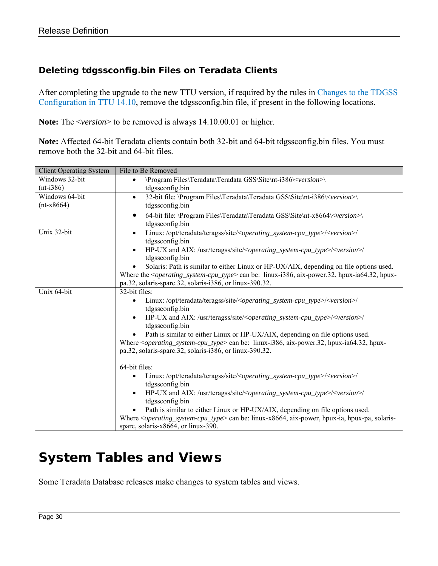#### <span id="page-29-0"></span>**Deleting tdgssconfig.bin Files on Teradata Clients**

After completing the upgrade to the new TTU version, if required by the rules in [Changes to the TDGSS](#page-28-1)  [Configuration in TTU 14.10,](#page-28-1) remove the tdgssconfig.bin file, if present in the following locations.

**Note:** The <*version*> to be removed is always 14.10.00.01 or higher.

**Note:** Affected 64-bit Teradata clients contain both 32-bit and 64-bit tdgssconfig.bin files. You must remove both the 32-bit and 64-bit files.

| <b>Client Operating System</b> | File to Be Removed                                                                                                                                                                                                                                                                                                                                                                                                                                                                                                                                                                                                                |
|--------------------------------|-----------------------------------------------------------------------------------------------------------------------------------------------------------------------------------------------------------------------------------------------------------------------------------------------------------------------------------------------------------------------------------------------------------------------------------------------------------------------------------------------------------------------------------------------------------------------------------------------------------------------------------|
| Windows 32-bit                 | \Program Files\Teradata\Teradata GSS\Site\nt-i386\ <version>\<br/><math>\bullet</math></version>                                                                                                                                                                                                                                                                                                                                                                                                                                                                                                                                  |
| $(nt-i386)$                    | tdgssconfig.bin                                                                                                                                                                                                                                                                                                                                                                                                                                                                                                                                                                                                                   |
| Windows 64-bit                 | 32-bit file: \Program Files\Teradata\Teradata GSS\Site\nt-i386\ <version>\<br/><math>\bullet</math></version>                                                                                                                                                                                                                                                                                                                                                                                                                                                                                                                     |
| $(nt-x8664)$                   | tdgssconfig.bin                                                                                                                                                                                                                                                                                                                                                                                                                                                                                                                                                                                                                   |
|                                | 64-bit file: \Program Files\Teradata\Teradata GSS\Site\nt-x8664\ <version>\<br/>tdgssconfig.bin</version>                                                                                                                                                                                                                                                                                                                                                                                                                                                                                                                         |
| Unix 32-bit                    | Linux:/opt/teradata/teragss/site/ <operating_system-cpu_type>/<version>/<br/><math display="inline">\bullet</math><br/>tdgssconfig.bin</version></operating_system-cpu_type>                                                                                                                                                                                                                                                                                                                                                                                                                                                      |
|                                | HP-UX and AIX: /usr/teragss/site/ <operating_system-cpu_type>/<version>/<br/><math display="inline">\bullet</math><br/>tdgssconfig.bin</version></operating_system-cpu_type>                                                                                                                                                                                                                                                                                                                                                                                                                                                      |
|                                | Solaris: Path is similar to either Linux or HP-UX/AIX, depending on file options used.<br>Where the $\leq$ <i>operating_system-cpu_type</i> > can be: linux-i386, aix-power.32, hpux-ia64.32, hpux-<br>pa.32, solaris-sparc.32, solaris-i386, or linux-390.32.                                                                                                                                                                                                                                                                                                                                                                    |
| Unix 64-bit                    | 32-bit files:                                                                                                                                                                                                                                                                                                                                                                                                                                                                                                                                                                                                                     |
|                                | Linux:/opt/teradata/teragss/site/ <operating_system-cpu_type>/<version>/<br/><math display="inline">\bullet</math><br/>tdgssconfig.bin<br/>HP-UX and AIX: /usr/teragss/site/<operating_system-cpu_type>/<version>/<br/><math display="inline">\bullet</math><br/>tdgssconfig.bin<br/>Path is similar to either Linux or HP-UX/AIX, depending on file options used.<br/>Where <math>\leq</math> <i>operating_system-cpu_type&gt;</i> can be: linux-i386, aix-power.32, hpux-ia64.32, hpux-<br/>pa.32, solaris-sparc.32, solaris-i386, or linux-390.32.</version></operating_system-cpu_type></version></operating_system-cpu_type> |
|                                | 64-bit files:<br>Linux:/opt/teradata/teragss/site/ <operating_system-cpu_type>/<version>/<br/>tdgssconfig.bin<br/>HP-UX and AIX: /usr/teragss/site/<operating_system-cpu_type>/<version>/<br/><math display="inline">\bullet</math><br/>tdgssconfig.bin<br/>Path is similar to either Linux or HP-UX/AIX, depending on file options used.<br/>Where &lt;<i>operating_system-cpu_type&gt;</i> can be: linux-x8664, aix-power, hpux-ia, hpux-pa, solaris-<br/>spare, solaris-x8664, or linux-390.</version></operating_system-cpu_type></version></operating_system-cpu_type>                                                       |

### <span id="page-29-1"></span>*System Tables and Views*

Some Teradata Database releases make changes to system tables and views.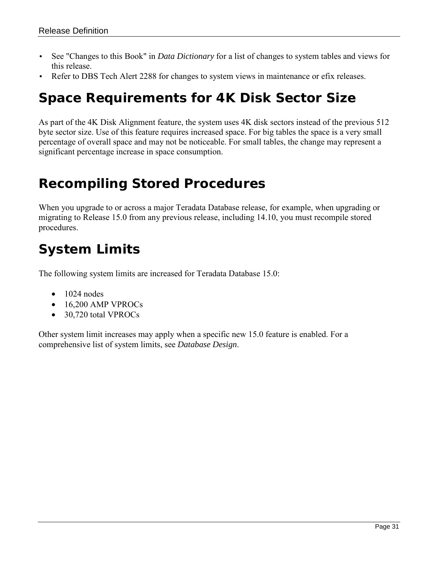- See "Changes to this Book" in *Data Dictionary* for a list of changes to system tables and views for this release.
- <span id="page-30-0"></span>Refer to DBS Tech Alert 2288 for changes to system views in maintenance or efix releases.

#### *Space Requirements for 4K Disk Sector Size*

As part of the 4K Disk Alignment feature, the system uses 4K disk sectors instead of the previous 512 byte sector size. Use of this feature requires increased space. For big tables the space is a very small percentage of overall space and may not be noticeable. For small tables, the change may represent a significant percentage increase in space consumption.

#### <span id="page-30-1"></span>*Recompiling Stored Procedures*

When you upgrade to or across a major Teradata Database release, for example, when upgrading or migrating to Release 15.0 from any previous release, including 14.10, you must recompile stored procedures.

### <span id="page-30-2"></span>*System Limits*

The following system limits are increased for Teradata Database 15.0:

- $\bullet$  1024 nodes
- 16,200 AMP VPROCs
- 30,720 total VPROCs

Other system limit increases may apply when a specific new 15.0 feature is enabled. For a comprehensive list of system limits, see *Database Design*.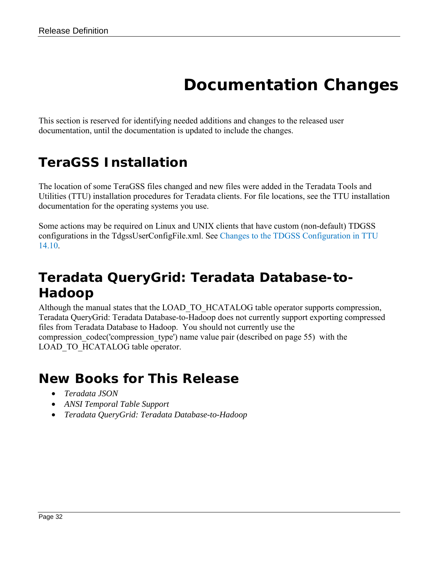## **Documentation Changes**

<span id="page-31-0"></span>This section is reserved for identifying needed additions and changes to the released user documentation, until the documentation is updated to include the changes.

### <span id="page-31-1"></span>*TeraGSS Installation*

The location of some TeraGSS files changed and new files were added in the Teradata Tools and Utilities (TTU) installation procedures for Teradata clients. For file locations, see the TTU installation documentation for the operating systems you use.

Some actions may be required on Linux and UNIX clients that have custom (non-default) TDGSS configurations in the TdgssUserConfigFile.xml. See [Changes to the TDGSS Configuration in TTU](#page-28-1)  [14.10.](#page-28-1)

### <span id="page-31-2"></span>*Teradata QueryGrid: Teradata Database-to-Hadoop*

Although the manual states that the LOAD\_TO\_HCATALOG table operator supports compression, Teradata QueryGrid: Teradata Database-to-Hadoop does not currently support exporting compressed files from Teradata Database to Hadoop. You should not currently use the compression codec('compression type') name value pair (described on page 55) with the LOAD\_TO\_HCATALOG table operator.

#### <span id="page-31-3"></span>*New Books for This Release*

- *Teradata JSON*
- *ANSI Temporal Table Support*
- *Teradata QueryGrid: Teradata Database-to-Hadoop*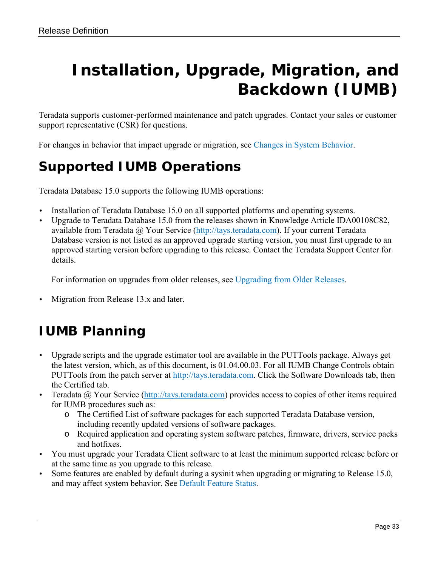# <span id="page-32-0"></span>**Installation, Upgrade, Migration, and Backdown (IUMB)**

Teradata supports customer-performed maintenance and patch upgrades. Contact your sales or customer support representative (CSR) for questions.

<span id="page-32-1"></span>For changes in behavior that impact upgrade or migration, see [Changes in System Behavior.](#page-24-0)

### *Supported IUMB Operations*

Teradata Database 15.0 supports the following IUMB operations:

- Installation of Teradata Database 15.0 on all supported platforms and operating systems.
- Upgrade to Teradata Database 15.0 from the releases shown in Knowledge Article IDA00108C82, available from Teradata @ Your Service [\(http://tays.teradata.com\)](http://tays.teradata.com/). If your current Teradata Database version is not listed as an approved upgrade starting version, you must first upgrade to an approved starting version before upgrading to this release. Contact the Teradata Support Center for details.

For information on upgrades from older releases, see [Upgrading from Older Releases.](#page-33-3)

Migration from Release 13.x and later.

### <span id="page-32-2"></span>*IUMB Planning*

- Upgrade scripts and the upgrade estimator tool are available in the PUTTools package. Always get the latest version, which, as of this document, is 01.04.00.03. For all IUMB Change Controls obtain PUTTools from the patch server at [http://tays.teradata.com.](http://tays.teradata.com/) Click the Software Downloads tab, then the Certified tab.
- Teradata @ Your Service [\(http://tays.teradata.com\)](http://tays.teradata.com/) provides access to copies of other items required for IUMB procedures such as:
	- o The Certified List of software packages for each supported Teradata Database version, including recently updated versions of software packages.
	- o Required application and operating system software patches, firmware, drivers, service packs and hotfixes.
- You must upgrade your Teradata Client software to at least the minimum supported release before or at the same time as you upgrade to this release.
- Some features are enabled by default during a sysinit when upgrading or migrating to Release 15.0, and may affect system behavior. See [Default Feature Status.](#page-24-1)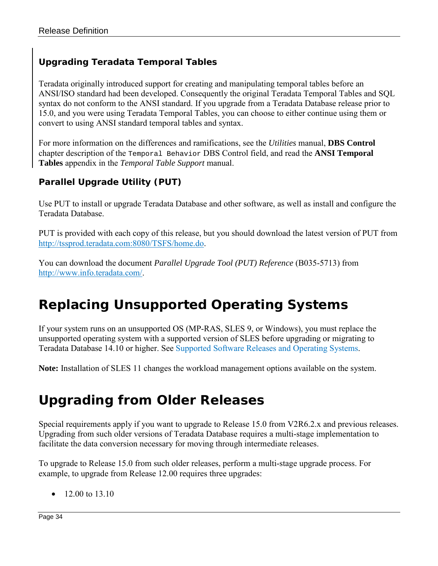#### <span id="page-33-0"></span>**Upgrading Teradata Temporal Tables**

Teradata originally introduced support for creating and manipulating temporal tables before an ANSI/ISO standard had been developed. Consequently the original Teradata Temporal Tables and SQL syntax do not conform to the ANSI standard. If you upgrade from a Teradata Database release prior to 15.0, and you were using Teradata Temporal Tables, you can choose to either continue using them or convert to using ANSI standard temporal tables and syntax.

For more information on the differences and ramifications, see the *Utilities* manual, **DBS Control** chapter description of the Temporal Behavior DBS Control field, and read the **ANSI Temporal Tables** appendix in the *Temporal Table Support* manual.

#### <span id="page-33-1"></span>**Parallel Upgrade Utility (PUT)**

Use PUT to install or upgrade Teradata Database and other software, as well as install and configure the Teradata Database.

PUT is provided with each copy of this release, but you should download the latest version of PUT from [http://tssprod.teradata.com:8080/TSFS/home.do.](http://tssprod.teradata.com:8080/TSFS/home.do)

You can download the document *Parallel Upgrade Tool (PUT) Reference* (B035-5713) from [http://www.info.teradata.com/.](http://www.info.teradata.com/)

### <span id="page-33-2"></span>*Replacing Unsupported Operating Systems*

If your system runs on an unsupported OS (MP-RAS, SLES 9, or Windows), you must replace the unsupported operating system with a supported version of SLES before upgrading or migrating to Teradata Database 14.10 or higher. See [Supported Software Releases and Operating Systems.](#page-5-2)

**Note:** Installation of SLES 11 changes the workload management options available on the system.

### <span id="page-33-3"></span>*Upgrading from Older Releases*

Special requirements apply if you want to upgrade to Release 15.0 from V2R6.2.x and previous releases. Upgrading from such older versions of Teradata Database requires a multi-stage implementation to facilitate the data conversion necessary for moving through intermediate releases.

To upgrade to Release 15.0 from such older releases, perform a multi-stage upgrade process. For example, to upgrade from Release 12.00 requires three upgrades:

• 12.00 to 13.10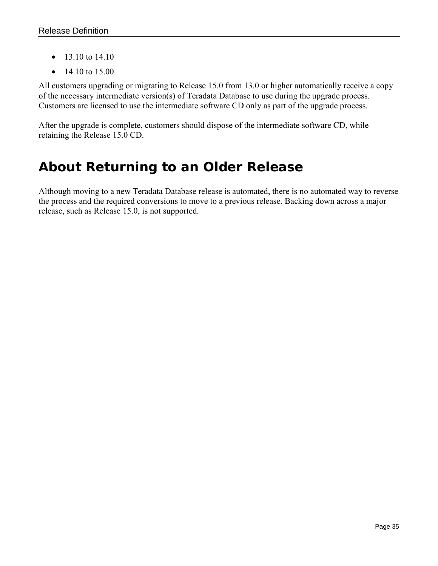- 13.10 to 14.10
- 14.10 to 15.00

All customers upgrading or migrating to Release 15.0 from 13.0 or higher automatically receive a copy of the necessary intermediate version(s) of Teradata Database to use during the upgrade process. Customers are licensed to use the intermediate software CD only as part of the upgrade process.

After the upgrade is complete, customers should dispose of the intermediate software CD, while retaining the Release 15.0 CD.

#### <span id="page-34-0"></span>*About Returning to an Older Release*

Although moving to a new Teradata Database release is automated, there is no automated way to reverse the process and the required conversions to move to a previous release. Backing down across a major release, such as Release 15.0, is not supported.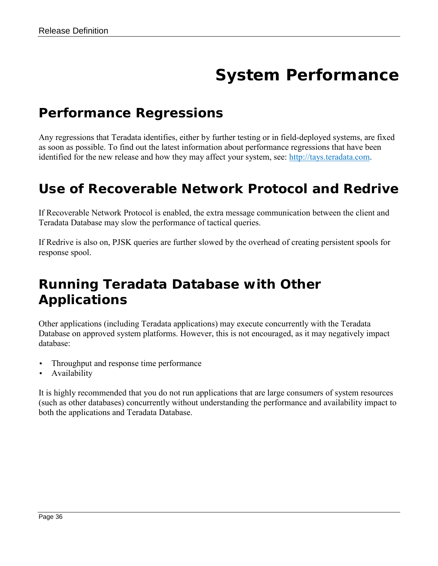# **System Performance**

#### <span id="page-35-1"></span><span id="page-35-0"></span>*Performance Regressions*

Any regressions that Teradata identifies, either by further testing or in field-deployed systems, are fixed as soon as possible. To find out the latest information about performance regressions that have been identified for the new release and how they may affect your system, see: [http://tays.teradata.com.](http://tays.teradata.com/)

#### <span id="page-35-2"></span>*Use of Recoverable Network Protocol and Redrive*

If Recoverable Network Protocol is enabled, the extra message communication between the client and Teradata Database may slow the performance of tactical queries.

If Redrive is also on, PJSK queries are further slowed by the overhead of creating persistent spools for response spool.

#### <span id="page-35-3"></span>*Running Teradata Database with Other Applications*

Other applications (including Teradata applications) may execute concurrently with the Teradata Database on approved system platforms. However, this is not encouraged, as it may negatively impact database:

- Throughput and response time performance
- **Availability**

It is highly recommended that you do not run applications that are large consumers of system resources (such as other databases) concurrently without understanding the performance and availability impact to both the applications and Teradata Database.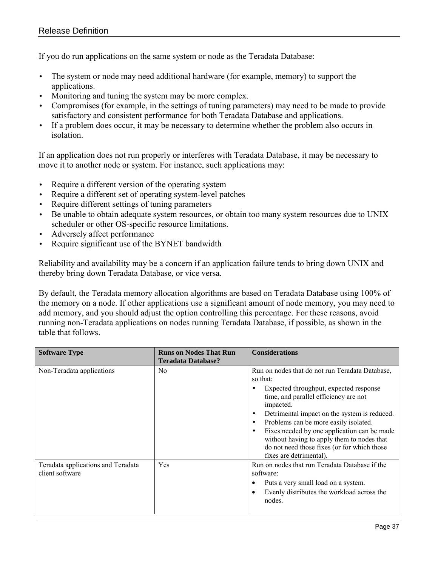If you do run applications on the same system or node as the Teradata Database:

- The system or node may need additional hardware (for example, memory) to support the applications.
- Monitoring and tuning the system may be more complex.
- Compromises (for example, in the settings of tuning parameters) may need to be made to provide satisfactory and consistent performance for both Teradata Database and applications.
- If a problem does occur, it may be necessary to determine whether the problem also occurs in isolation.

If an application does not run properly or interferes with Teradata Database, it may be necessary to move it to another node or system. For instance, such applications may:

- Require a different version of the operating system
- Require a different set of operating system-level patches
- Require different settings of tuning parameters
- Be unable to obtain adequate system resources, or obtain too many system resources due to UNIX scheduler or other OS-specific resource limitations.
- Adversely affect performance
- Require significant use of the BYNET bandwidth

Reliability and availability may be a concern if an application failure tends to bring down UNIX and thereby bring down Teradata Database, or vice versa.

By default, the Teradata memory allocation algorithms are based on Teradata Database using 100% of the memory on a node. If other applications use a significant amount of node memory, you may need to add memory, and you should adjust the option controlling this percentage. For these reasons, avoid running non-Teradata applications on nodes running Teradata Database, if possible, as shown in the table that follows.

| <b>Software Type</b>                                  | <b>Runs on Nodes That Run</b><br><b>Teradata Database?</b> | <b>Considerations</b>                                                                                                                                                                                                                                                                                                                                                                                                       |
|-------------------------------------------------------|------------------------------------------------------------|-----------------------------------------------------------------------------------------------------------------------------------------------------------------------------------------------------------------------------------------------------------------------------------------------------------------------------------------------------------------------------------------------------------------------------|
| Non-Teradata applications                             | N <sub>0</sub>                                             | Run on nodes that do not run Teradata Database,<br>so that:<br>Expected throughput, expected response<br>time, and parallel efficiency are not<br>impacted.<br>Detrimental impact on the system is reduced.<br>Problems can be more easily isolated.<br>Fixes needed by one application can be made<br>without having to apply them to nodes that<br>do not need those fixes (or for which those<br>fixes are detrimental). |
| Teradata applications and Teradata<br>client software | Yes                                                        | Run on nodes that run Teradata Database if the<br>software:<br>Puts a very small load on a system.<br>Evenly distributes the workload across the<br>nodes.                                                                                                                                                                                                                                                                  |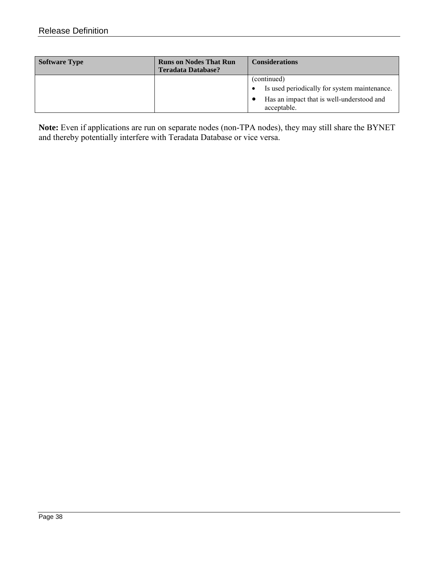| <b>Software Type</b> | <b>Runs on Nodes That Run</b><br><b>Teradata Database?</b> | <b>Considerations</b>                                       |
|----------------------|------------------------------------------------------------|-------------------------------------------------------------|
|                      |                                                            | (continued)<br>Is used periodically for system maintenance. |
|                      |                                                            | Has an impact that is well-understood and<br>acceptable.    |

**Note:** Even if applications are run on separate nodes (non-TPA nodes), they may still share the BYNET and thereby potentially interfere with Teradata Database or vice versa.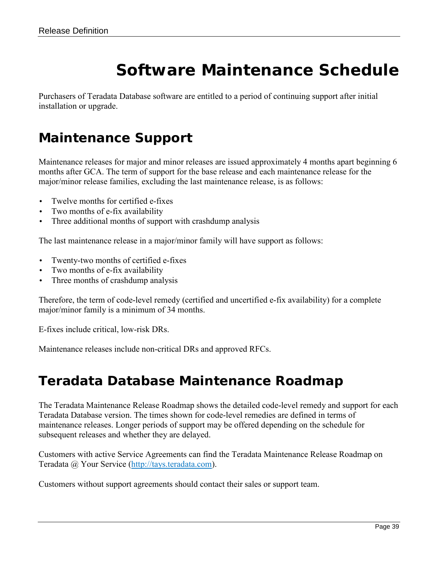# **Software Maintenance Schedule**

<span id="page-38-0"></span>Purchasers of Teradata Database software are entitled to a period of continuing support after initial installation or upgrade.

#### <span id="page-38-1"></span>*Maintenance Support*

Maintenance releases for major and minor releases are issued approximately 4 months apart beginning 6 months after GCA. The term of support for the base release and each maintenance release for the major/minor release families, excluding the last maintenance release, is as follows:

- Twelve months for certified e-fixes
- Two months of e-fix availability
- Three additional months of support with crashdump analysis

The last maintenance release in a major/minor family will have support as follows:

- Twenty-two months of certified e-fixes
- Two months of e-fix availability
- Three months of crashdump analysis

Therefore, the term of code-level remedy (certified and uncertified e-fix availability) for a complete major/minor family is a minimum of 34 months.

E-fixes include critical, low-risk DRs.

Maintenance releases include non-critical DRs and approved RFCs.

#### <span id="page-38-2"></span>*Teradata Database Maintenance Roadmap*

The Teradata Maintenance Release Roadmap shows the detailed code-level remedy and support for each Teradata Database version. The times shown for code-level remedies are defined in terms of maintenance releases. Longer periods of support may be offered depending on the schedule for subsequent releases and whether they are delayed.

Customers with active Service Agreements can find the Teradata Maintenance Release Roadmap on Teradata @ Your Service [\(http://tays.teradata.com\)](http://tays.teradata.com/).

Customers without support agreements should contact their sales or support team.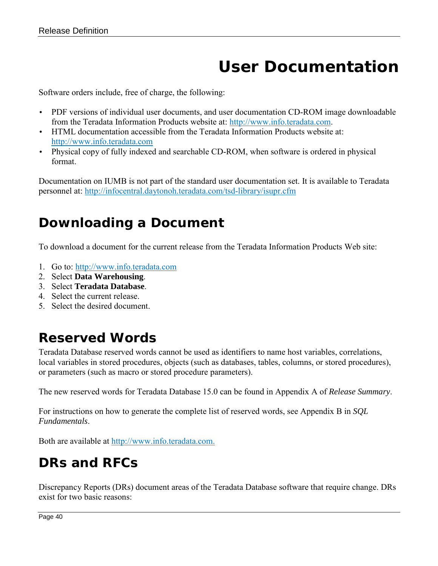# **User Documentation**

<span id="page-39-0"></span>Software orders include, free of charge, the following:

- PDF versions of individual user documents, and user documentation CD-ROM image downloadable from the Teradata Information Products website at: [http://www.info.teradata.com.](http://www.info.teradata.com/)
- HTML documentation accessible from the Teradata Information Products website at: [http://www.info.teradata.com](http://www.info.teradata.com/)
- Physical copy of fully indexed and searchable CD-ROM, when software is ordered in physical format.

Documentation on IUMB is not part of the standard user documentation set. It is available to Teradata personnel at:<http://infocentral.daytonoh.teradata.com/tsd-library/isupr.cfm>

### <span id="page-39-1"></span>*Downloading a Document*

To download a document for the current release from the Teradata Information Products Web site:

- 1. Go to: [http://www.info.teradata.com](http://www.info.teradata.com/)
- 2. Select **Data Warehousing**.
- 3. Select **Teradata Database**.
- 4. Select the current release.
- 5. Select the desired document.

### <span id="page-39-2"></span>*Reserved Words*

Teradata Database reserved words cannot be used as identifiers to name host variables, correlations, local variables in stored procedures, objects (such as databases, tables, columns, or stored procedures), or parameters (such as macro or stored procedure parameters).

The new reserved words for Teradata Database 15.0 can be found in Appendix A of *Release Summary*.

For instructions on how to generate the complete list of reserved words, see Appendix B in *SQL Fundamentals*.

<span id="page-39-3"></span>Both are available at [http://www.info.teradata.com.](http://www.info.teradata.com/)

### *DRs and RFCs*

Discrepancy Reports (DRs) document areas of the Teradata Database software that require change. DRs exist for two basic reasons: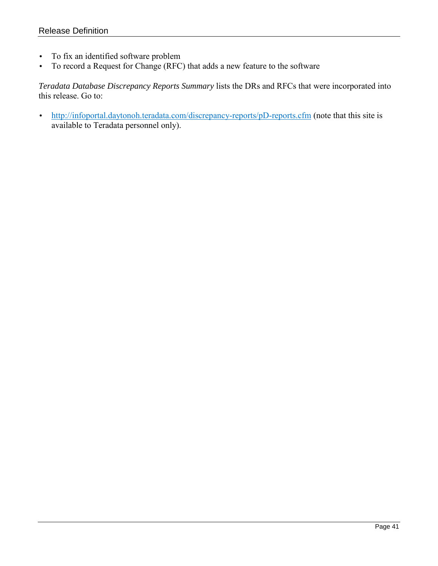- To fix an identified software problem
- To record a Request for Change (RFC) that adds a new feature to the software

*Teradata Database Discrepancy Reports Summary* lists the DRs and RFCs that were incorporated into this release. Go to:

• <http://infoportal.daytonoh.teradata.com/discrepancy-reports/pD-reports.cfm> (note that this site is available to Teradata personnel only).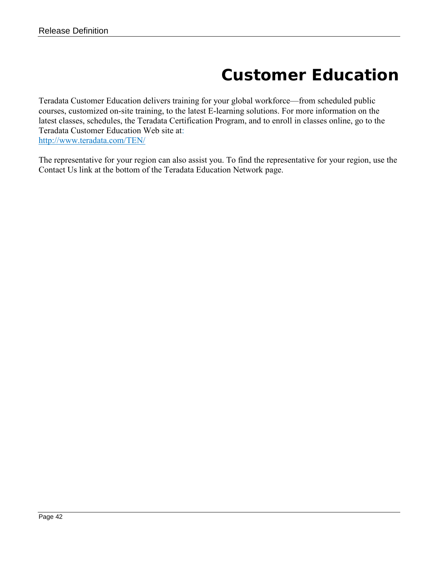# **Customer Education**

<span id="page-41-0"></span>Teradata Customer Education delivers training for your global workforce—from scheduled public courses, customized on-site training, to the latest E-learning solutions. For more information on the latest classes, schedules, the Teradata Certification Program, and to enroll in classes online, go to the Teradata Customer Education Web site at: <http://www.teradata.com/TEN/>

The representative for your region can also assist you. To find the representative for your region, use the Contact Us link at the bottom of the Teradata Education Network page.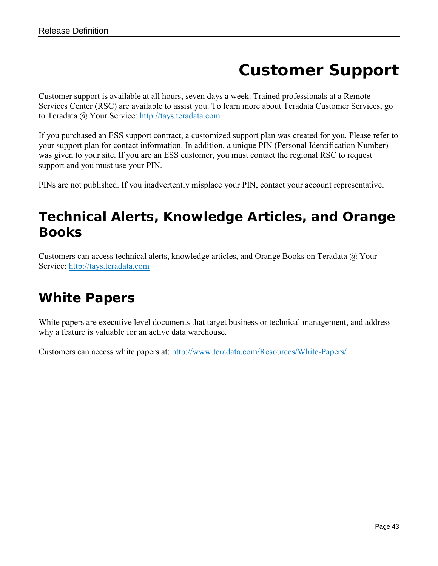# **Customer Support**

<span id="page-42-0"></span>Customer support is available at all hours, seven days a week. Trained professionals at a Remote Services Center (RSC) are available to assist you. To learn more about Teradata Customer Services, go to Teradata @ Your Service: [http://tays.teradata.com](http://tays.teradata.com/)

If you purchased an ESS support contract, a customized support plan was created for you. Please refer to your support plan for contact information. In addition, a unique PIN (Personal Identification Number) was given to your site. If you are an ESS customer, you must contact the regional RSC to request support and you must use your PIN.

PINs are not published. If you inadvertently misplace your PIN, contact your account representative.

#### <span id="page-42-1"></span>*Technical Alerts, Knowledge Articles, and Orange Books*

Customers can access technical alerts, knowledge articles, and Orange Books on Teradata @ Your Service: [http://tays.teradata.com](http://tays.teradata.com/)

#### <span id="page-42-2"></span>*White Papers*

White papers are executive level documents that target business or technical management, and address why a feature is valuable for an active data warehouse.

Customers can access white papers at: http://www.teradata.com/Resources/White-Papers/